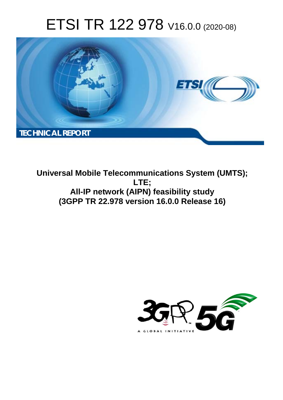# ETSI TR 122 978 V16.0.0 (2020-08)



**Universal Mobile Telecommunications System (UMTS); LTE; All-IP network (AIPN) feasibility study (3GPP TR 22.978 version 16.0.0 Release 16)** 

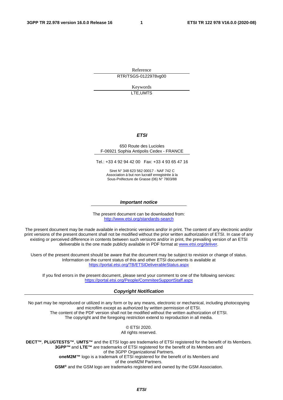Reference RTR/TSGS-0122978vg00

> Keywords LTE,UMTS

#### *ETSI*

#### 650 Route des Lucioles F-06921 Sophia Antipolis Cedex - FRANCE

Tel.: +33 4 92 94 42 00 Fax: +33 4 93 65 47 16

Siret N° 348 623 562 00017 - NAF 742 C Association à but non lucratif enregistrée à la Sous-Préfecture de Grasse (06) N° 7803/88

#### *Important notice*

The present document can be downloaded from: <http://www.etsi.org/standards-search>

The present document may be made available in electronic versions and/or in print. The content of any electronic and/or print versions of the present document shall not be modified without the prior written authorization of ETSI. In case of any existing or perceived difference in contents between such versions and/or in print, the prevailing version of an ETSI deliverable is the one made publicly available in PDF format at [www.etsi.org/deliver](http://www.etsi.org/deliver).

Users of the present document should be aware that the document may be subject to revision or change of status. Information on the current status of this and other ETSI documents is available at <https://portal.etsi.org/TB/ETSIDeliverableStatus.aspx>

If you find errors in the present document, please send your comment to one of the following services: <https://portal.etsi.org/People/CommiteeSupportStaff.aspx>

#### *Copyright Notification*

No part may be reproduced or utilized in any form or by any means, electronic or mechanical, including photocopying and microfilm except as authorized by written permission of ETSI. The content of the PDF version shall not be modified without the written authorization of ETSI. The copyright and the foregoing restriction extend to reproduction in all media.

> © ETSI 2020. All rights reserved.

**DECT™**, **PLUGTESTS™**, **UMTS™** and the ETSI logo are trademarks of ETSI registered for the benefit of its Members. **3GPP™** and **LTE™** are trademarks of ETSI registered for the benefit of its Members and of the 3GPP Organizational Partners. **oneM2M™** logo is a trademark of ETSI registered for the benefit of its Members and of the oneM2M Partners. **GSM®** and the GSM logo are trademarks registered and owned by the GSM Association.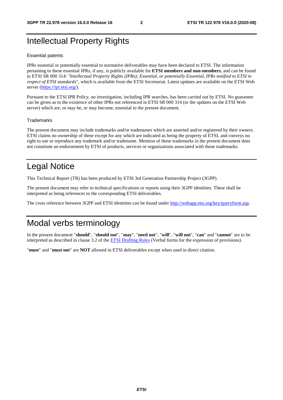# Intellectual Property Rights

#### Essential patents

IPRs essential or potentially essential to normative deliverables may have been declared to ETSI. The information pertaining to these essential IPRs, if any, is publicly available for **ETSI members and non-members**, and can be found in ETSI SR 000 314: *"Intellectual Property Rights (IPRs); Essential, or potentially Essential, IPRs notified to ETSI in respect of ETSI standards"*, which is available from the ETSI Secretariat. Latest updates are available on the ETSI Web server [\(https://ipr.etsi.org/](https://ipr.etsi.org/)).

Pursuant to the ETSI IPR Policy, no investigation, including IPR searches, has been carried out by ETSI. No guarantee can be given as to the existence of other IPRs not referenced in ETSI SR 000 314 (or the updates on the ETSI Web server) which are, or may be, or may become, essential to the present document.

#### **Trademarks**

The present document may include trademarks and/or tradenames which are asserted and/or registered by their owners. ETSI claims no ownership of these except for any which are indicated as being the property of ETSI, and conveys no right to use or reproduce any trademark and/or tradename. Mention of those trademarks in the present document does not constitute an endorsement by ETSI of products, services or organizations associated with those trademarks.

# Legal Notice

This Technical Report (TR) has been produced by ETSI 3rd Generation Partnership Project (3GPP).

The present document may refer to technical specifications or reports using their 3GPP identities. These shall be interpreted as being references to the corresponding ETSI deliverables.

The cross reference between 3GPP and ETSI identities can be found under<http://webapp.etsi.org/key/queryform.asp>.

# Modal verbs terminology

In the present document "**should**", "**should not**", "**may**", "**need not**", "**will**", "**will not**", "**can**" and "**cannot**" are to be interpreted as described in clause 3.2 of the [ETSI Drafting Rules](https://portal.etsi.org/Services/editHelp!/Howtostart/ETSIDraftingRules.aspx) (Verbal forms for the expression of provisions).

"**must**" and "**must not**" are **NOT** allowed in ETSI deliverables except when used in direct citation.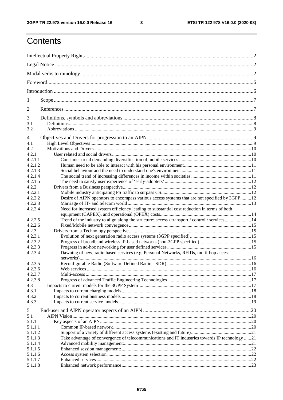$\mathbf{3}$ 

# Contents

| 1                  |                                                                                                |  |  |  |  |  |  |  |
|--------------------|------------------------------------------------------------------------------------------------|--|--|--|--|--|--|--|
| $\overline{2}$     |                                                                                                |  |  |  |  |  |  |  |
| 3<br>3.1<br>3.2    |                                                                                                |  |  |  |  |  |  |  |
| 4<br>4.1           |                                                                                                |  |  |  |  |  |  |  |
| 4.2                |                                                                                                |  |  |  |  |  |  |  |
| 4.2.1<br>4.2.1.1   |                                                                                                |  |  |  |  |  |  |  |
| 4.2.1.2            |                                                                                                |  |  |  |  |  |  |  |
| 4.2.1.3            |                                                                                                |  |  |  |  |  |  |  |
| 4.2.1.4            |                                                                                                |  |  |  |  |  |  |  |
| 4.2.1.5            |                                                                                                |  |  |  |  |  |  |  |
| 4.2.2              |                                                                                                |  |  |  |  |  |  |  |
| 4.2.2.1<br>4.2.2.2 | Desire of AIPN operators to encompass various access systems that are not specified by 3GPP12  |  |  |  |  |  |  |  |
| 4.2.2.3            |                                                                                                |  |  |  |  |  |  |  |
| 4.2.2.4            | Need for increased system efficiency leading to substantial cost reduction in terms of both    |  |  |  |  |  |  |  |
| 4.2.2.5            | Trend of the industry to align along the structure: access / transport / control / services14  |  |  |  |  |  |  |  |
| 4.2.2.6            |                                                                                                |  |  |  |  |  |  |  |
| 4.2.3              |                                                                                                |  |  |  |  |  |  |  |
| 4.2.3.1            |                                                                                                |  |  |  |  |  |  |  |
| 4.2.3.2            |                                                                                                |  |  |  |  |  |  |  |
| 4.2.3.3            |                                                                                                |  |  |  |  |  |  |  |
| 4.2.3.4            | Dawning of new, radio based services (e.g. Personal Networks, RFIDs, multi-hop access          |  |  |  |  |  |  |  |
| 4.2.3.5            |                                                                                                |  |  |  |  |  |  |  |
| 4.2.3.6            |                                                                                                |  |  |  |  |  |  |  |
| 4.2.3.7            |                                                                                                |  |  |  |  |  |  |  |
| 4.2.3.8            |                                                                                                |  |  |  |  |  |  |  |
| 4.3                |                                                                                                |  |  |  |  |  |  |  |
| 4.3.1              |                                                                                                |  |  |  |  |  |  |  |
| 4.3.2<br>4.3.3     |                                                                                                |  |  |  |  |  |  |  |
|                    |                                                                                                |  |  |  |  |  |  |  |
| 5                  |                                                                                                |  |  |  |  |  |  |  |
| 5.1<br>5.1.1       |                                                                                                |  |  |  |  |  |  |  |
| 5.1.1.1            |                                                                                                |  |  |  |  |  |  |  |
| 5.1.1.2            |                                                                                                |  |  |  |  |  |  |  |
| 5.1.1.3            | Take advantage of convergence of telecommunications and IT industries towards IP technology 21 |  |  |  |  |  |  |  |
| 5.1.1.4            |                                                                                                |  |  |  |  |  |  |  |
| 5.1.1.5            |                                                                                                |  |  |  |  |  |  |  |
| 5.1.1.6            |                                                                                                |  |  |  |  |  |  |  |
| 5.1.1.7<br>5.1.1.8 |                                                                                                |  |  |  |  |  |  |  |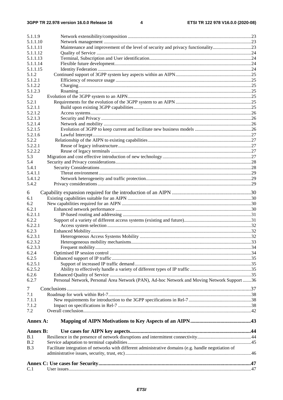| 5.1.1.9          |                                                                                                      |  |
|------------------|------------------------------------------------------------------------------------------------------|--|
| 5.1.1.10         |                                                                                                      |  |
| 5.1.1.11         | Maintenance and improvement of the level of security and privacy functionality23                     |  |
| 5.1.1.12         |                                                                                                      |  |
| 5.1.1.13         |                                                                                                      |  |
| 5.1.1.14         |                                                                                                      |  |
| 5.1.1.15         |                                                                                                      |  |
| 5.1.2<br>5.1.2.1 |                                                                                                      |  |
| 5.1.2.2          |                                                                                                      |  |
| 5.1.2.3          |                                                                                                      |  |
| 5.2              |                                                                                                      |  |
| 5.2.1            |                                                                                                      |  |
| 5.2.1.1          |                                                                                                      |  |
| 5.2.1.2          |                                                                                                      |  |
| 5.2.1.3          |                                                                                                      |  |
| 5.2.1.4          |                                                                                                      |  |
| 5.2.1.5          |                                                                                                      |  |
| 5.2.1.6          |                                                                                                      |  |
| 5.2.2            |                                                                                                      |  |
| 5.2.2.1          |                                                                                                      |  |
| 5.2.2.2          |                                                                                                      |  |
| 5.3              |                                                                                                      |  |
| 5.4              |                                                                                                      |  |
| 5.4.1            |                                                                                                      |  |
| 5.4.1.1          |                                                                                                      |  |
| 5.4.1.2          |                                                                                                      |  |
| 5.4.2            |                                                                                                      |  |
| 6                |                                                                                                      |  |
| 6.1              |                                                                                                      |  |
| 6.2              |                                                                                                      |  |
| 6.2.1            |                                                                                                      |  |
| 6.2.1.1          |                                                                                                      |  |
| 6.2.2            |                                                                                                      |  |
| 6.2.2.1          |                                                                                                      |  |
| 6.2.3            |                                                                                                      |  |
| 6.2.3.1          |                                                                                                      |  |
| 6.2.3.2          |                                                                                                      |  |
| 6.2.3.3          |                                                                                                      |  |
| 6.2.4            |                                                                                                      |  |
| 6.2.5            |                                                                                                      |  |
| 6.2.5.1          |                                                                                                      |  |
| 6.2.5.2          |                                                                                                      |  |
| 6.2.6            |                                                                                                      |  |
| 6.2.7            | Personal Network, Personal Area Network (PAN), Ad-hoc Network and Moving Network Support 36          |  |
| 7                |                                                                                                      |  |
| 7.1              |                                                                                                      |  |
| 7.1.1            |                                                                                                      |  |
| 7.1.2            |                                                                                                      |  |
| 7.2              |                                                                                                      |  |
|                  |                                                                                                      |  |
| Annex A:         |                                                                                                      |  |
|                  |                                                                                                      |  |
| <b>Annex B:</b>  |                                                                                                      |  |
| B.1<br>B.2       |                                                                                                      |  |
| B.3              | Facilitate integration of networks with different administrative domains (e.g. handle negotiation of |  |
|                  |                                                                                                      |  |
|                  |                                                                                                      |  |
|                  |                                                                                                      |  |
| C.1              |                                                                                                      |  |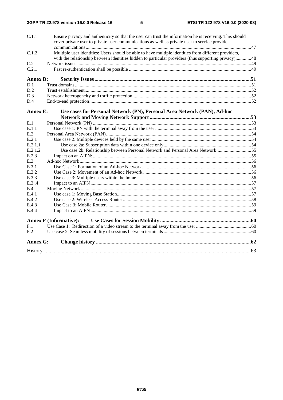| C.1.1           | Ensure privacy and authenticity so that the user can trust the information he is receiving. This should<br>cover private user to private user communications as well as private user to service provider |  |
|-----------------|----------------------------------------------------------------------------------------------------------------------------------------------------------------------------------------------------------|--|
|                 |                                                                                                                                                                                                          |  |
| C.1.2           | Multiple user identities: Users should be able to have multiple identities from different providers,                                                                                                     |  |
|                 | with the relationship between identities hidden to particular providers (thus supporting privacy)48                                                                                                      |  |
| C.2             |                                                                                                                                                                                                          |  |
| C.2.1           |                                                                                                                                                                                                          |  |
| <b>Annex D:</b> |                                                                                                                                                                                                          |  |
| D.1             |                                                                                                                                                                                                          |  |
| D.2             |                                                                                                                                                                                                          |  |
| D.3             |                                                                                                                                                                                                          |  |
| D.4             |                                                                                                                                                                                                          |  |
| <b>Annex E:</b> | Use cases for Personal Network (PN), Personal Area Network (PAN), Ad-hoc                                                                                                                                 |  |
|                 |                                                                                                                                                                                                          |  |
| E.1             |                                                                                                                                                                                                          |  |
| E.1.1           |                                                                                                                                                                                                          |  |
| E.2             |                                                                                                                                                                                                          |  |
| E.2.1           |                                                                                                                                                                                                          |  |
| E.2.1.1         |                                                                                                                                                                                                          |  |
| E.2.1.2         | Use case 2b: Relationship between Personal Network and Personal Area Network55                                                                                                                           |  |
| E.2.3           |                                                                                                                                                                                                          |  |
| E.3             |                                                                                                                                                                                                          |  |
| E.3.1           |                                                                                                                                                                                                          |  |
| E.3.2           |                                                                                                                                                                                                          |  |
| E.3.3           |                                                                                                                                                                                                          |  |
| E.3.4           |                                                                                                                                                                                                          |  |
| E.4             |                                                                                                                                                                                                          |  |
| E.4.1           |                                                                                                                                                                                                          |  |
| E.4.2           |                                                                                                                                                                                                          |  |
| E.4.3           |                                                                                                                                                                                                          |  |
| E.4.4           |                                                                                                                                                                                                          |  |
|                 | <b>Annex F (Informative):</b>                                                                                                                                                                            |  |
| F.1             |                                                                                                                                                                                                          |  |
| F <sub>.2</sub> |                                                                                                                                                                                                          |  |
| <b>Annex G:</b> |                                                                                                                                                                                                          |  |
|                 |                                                                                                                                                                                                          |  |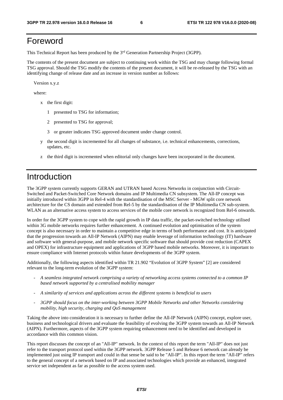# Foreword

This Technical Report has been produced by the 3rd Generation Partnership Project (3GPP).

The contents of the present document are subject to continuing work within the TSG and may change following formal TSG approval. Should the TSG modify the contents of the present document, it will be re-released by the TSG with an identifying change of release date and an increase in version number as follows:

Version x.y.z

where:

- x the first digit:
	- 1 presented to TSG for information;
	- 2 presented to TSG for approval;
	- 3 or greater indicates TSG approved document under change control.
- y the second digit is incremented for all changes of substance, i.e. technical enhancements, corrections, updates, etc.
- z the third digit is incremented when editorial only changes have been incorporated in the document.

# Introduction

The 3GPP system currently supports GERAN and UTRAN based Access Networks in conjunction with Circuit-Switched and Packet-Switched Core Network domains and IP Multimedia CN subsystem. The All-IP concept was initially introduced within 3GPP in Rel-4 with the standardisation of the MSC Server - MGW split core network architecture for the CS domain and extended from Rel-5 by the standardisation of the IP Multimedia CN sub-system. WLAN as an alternative access system to access services of the mobile core network is recognized from Rel-6 onwards.

In order for the 3GPP system to cope with the rapid growth in IP data traffic, the packet-switched technology utilised within 3G mobile networks requires further enhancement. A continued evolution and optimisation of the system concept is also necessary in order to maintain a competitive edge in terms of both performance and cost. It is anticipated that the progression towards an All-IP Network (AIPN) may enable leverage of information technology (IT) hardware and software with general-purpose, and mobile network specific software that should provide cost reduction (CAPEX and OPEX) for infrastructure equipment and applications of 3GPP based mobile networks. Moreover, it is important to ensure compliance with Internet protocols within future developments of the 3GPP system.

Additionally, the following aspects identified within TR 21.902 "Evolution of 3GPP System" [2] are considered relevant to the long-term evolution of the 3GPP system:

- *A seamless integrated network comprising a variety of networking access systems connected to a common IP based network supported by a centralised mobility manager*
- *A similarity of services and applications across the different systems is beneficial to users*
- *3GPP should focus on the inter-working between 3GPP Mobile Networks and other Networks considering mobility, high security, charging and QoS management*

Taking the above into consideration it is necessary to further define the All-IP Network (AIPN) concept, explore user, business and technological drivers and evaluate the feasibility of evolving the 3GPP system towards an All-IP Network (AIPN). Furthermore, aspects of the 3GPP system requiring enhancement need to be identified and developed in accordance with this common vision.

This report discusses the concept of an "All-IP" network. In the context of this report the term "All-IP" does not just refer to the transport protocol used within the 3GPP network. 3GPP Release 5 and Release 6 network can already be implemented just using IP transport and could in that sense be said to be "All-IP". In this report the term "All-IP" refers to the general concept of a network based on IP and associated technologies which provide an enhanced, integrated service set independent as far as possible to the access system used.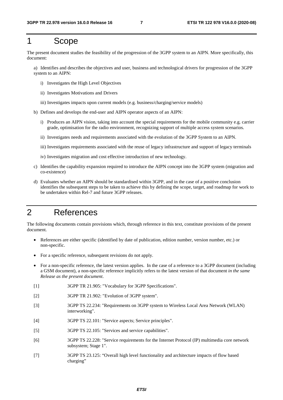# 1 Scope

The present document studies the feasibility of the progression of the 3GPP system to an AIPN. More specifically, this document:

a) Identifies and describes the objectives and user, business and technological drivers for progression of the 3GPP system to an AIPN:

- i) Investigates the High Level Objectives
- ii) Investigates Motivations and Drivers
- iii) Investigates impacts upon current models (e.g. business/charging/service models)
- b) Defines and develops the end-user and AIPN operator aspects of an AIPN:
	- i) Produces an AIPN vision, taking into account the special requirements for the mobile community e.g. carrier grade, optimisation for the radio environment, recognizing support of multiple access system scenarios.
	- ii) Investigates needs and requirements associated with the evolution of the 3GPP System to an AIPN.
	- iii) Investigates requirements associated with the reuse of legacy infrastructure and support of legacy terminals
	- iv) Investigates migration and cost effective introduction of new technology.
- c) Identifies the capability expansion required to introduce the AIPN concept into the 3GPP system (migration and co-existence)
- d) Evaluates whether an AIPN should be standardised within 3GPP, and in the case of a positive conclusion identifies the subsequent steps to be taken to achieve this by defining the scope, target, and roadmap for work to be undertaken within Rel-7 and future 3GPP releases.

# 2 References

The following documents contain provisions which, through reference in this text, constitute provisions of the present document.

- References are either specific (identified by date of publication, edition number, version number, etc.) or non-specific.
- For a specific reference, subsequent revisions do not apply.
- For a non-specific reference, the latest version applies. In the case of a reference to a 3GPP document (including a GSM document), a non-specific reference implicitly refers to the latest version of that document *in the same Release as the present document*.
- [1] 3GPP TR 21.905: "Vocabulary for 3GPP Specifications".
- [2] 3GPP TR 21.902: "Evolution of 3GPP system".
- [3] 3GPP TS 22.234: "Requirements on 3GPP system to Wireless Local Area Network (WLAN) interworking".
- [4] 3GPP TS 22.101: "Service aspects; Service principles".
- [5] 3GPP TS 22.105: "Services and service capabilities".
- [6] 3GPP TS 22.228: "Service requirements for the Internet Protocol (IP) multimedia core network subsystem; Stage 1".
- [7] 3GPP TS 23.125: "Overall high level functionality and architecture impacts of flow based charging"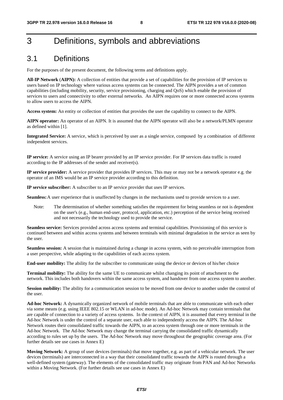# 3 Definitions, symbols and abbreviations

### 3.1 Definitions

For the purposes of the present document, the following terms and definitions apply.

**All-IP Network** (**AIPN):** A collection of entities that provide a set of capabilities for the provision of IP services to users based on IP technology where various access systems can be connected. The AIPN provides a set of common capabilities (including mobility, security, service provisioning, charging and QoS) which enable the provision of services to users and connectivity to other external networks. An AIPN requires one or more connected access systems to allow users to access the AIPN.

**Access system:** An entity or collection of entities that provides the user the capability to connect to the AIPN.

**AIPN operator:** An operator of an AIPN. It is assumed that the AIPN operator will also be a network/PLMN operator as defined within [1].

**Integrated Service:** A service, which is perceived by user as a single service, composed by a combination of different independent services.

**IP service:** A service using an IP bearer provided by an IP service provider. For IP services data traffic is routed according to the IP addresses of the sender and receiver(s).

**IP service provider:** A service provider that provides IP services. This may or may not be a network operator e.g. the operator of an IMS would be an IP service provider according to this definition.

**IP service subscriber:** A subscriber to an IP service provider that uses IP services.

**Seamless:** A user experience that is unaffected by changes in the mechanisms used to provide services to a user.

Note: The determination of whether something satisfies the requirement for being seamless or not is dependent on the user's (e.g., human end-user, protocol, application, etc.) perception of the service being received and not necessarily the technology used to provide the service.

**Seamless service:** Services provided across access systems and terminal capabilities. Provisioning of this service is continued between and within access systems and between terminals with minimal degradation in the service as seen by the user.

**Seamless session:** A session that is maintained during a change in access system, with no perceivable interruption from a user perspective, while adapting to the capabilities of each access system.

**End-user mobility:** The ability for the subscriber to communicate using the device or devices of his/her choice

**Terminal mobility:** The ability for the same UE to communicate whilst changing its point of attachment to the network. This includes both handovers within the same access system, and handover from one access system to another.

**Session mobility:** The ability for a communication session to be moved from one device to another under the control of the user.

**Ad-hoc Network:** A dynamically organized network of mobile terminals that are able to communicate with each other via some means (e.g. using IEEE 802.15 or WLAN in ad-hoc mode). An Ad-hoc Network may contain terminals that are capable of connection to a variety of access systems. In the context of AIPN, it is assumed that every terminal in the Ad-hoc Network is under the control of a separate user, each able to independently access the AIPN. The Ad-hoc Network routes their consolidated traffic towards the AIPN, to an access system through one or more terminals in the Ad-hoc Network. The Ad-hoc Network may change the terminal carrying the consolidated traffic dynamically according to rules set up by the users. The Ad-hoc Network may move throughout the geographic coverage area. (For further details see use cases in Annex E)

**Moving Network:** A group of user devices (terminals) that move together, e.g. as part of a vehicular network. The user devices (terminals) are interconnected in a way that their consolidated traffic towards the AIPN is routed through a well-defined system (gateway). The elements of the consolidated traffic may originate from PAN and Ad-hoc Networks within a Moving Network. (For further details see use cases in Annex E)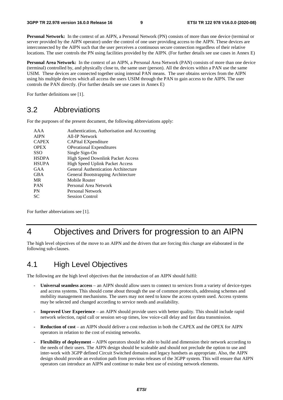**Personal Network:** In the context of an AIPN, a Personal Network (PN) consists of more than one device (terminal or server provided by the AIPN operator) under the control of one user providing access to the AIPN. These devices are interconnected by the AIPN such that the user perceives a continuous secure connection regardless of their relative locations. The user controls the PN using facilities provided by the AIPN. (For further details see use cases in Annex E)

**Personal Area Network:** In the context of an AIPN, a Personal Area Network (PAN) consists of more than one device (terminal) controlled by, and physically close to, the same user (person). All the devices within a PAN use the same USIM. These devices are connected together using internal PAN means. The user obtains services from the AIPN using his multiple devices which all access the users USIM through the PAN to gain access to the AIPN. The user controls the PAN directly. (For further details see use cases in Annex E)

For further definitions see [1].

### 3.2 Abbreviations

For the purposes of the present document, the following abbreviations apply:

| AAA          | Authentication, Authorisation and Accounting |
|--------------|----------------------------------------------|
| <b>AIPN</b>  | All-IP Network                               |
| <b>CAPEX</b> | CAPital EXpenditure                          |
| <b>OPEX</b>  | <b>OPerational Expenditures</b>              |
| <b>SSO</b>   | Single Sign-On                               |
| <b>HSDPA</b> | <b>High Speed Downlink Packet Access</b>     |
| <b>HSUPA</b> | <b>High Speed Uplink Packet Access</b>       |
| GAA          | General Authentication Architecture          |
| <b>GBA</b>   | General Bootstrapping Architecture           |
| <b>MR</b>    | Mobile Router                                |
| <b>PAN</b>   | Personal Area Network                        |
| <b>PN</b>    | Personal Network                             |
| <b>SC</b>    | <b>Session Control</b>                       |
|              |                                              |

For further abbreviations see [1].

# 4 Objectives and Drivers for progression to an AIPN

The high level objectives of the move to an AIPN and the drivers that are forcing this change are elaborated in the following sub-clauses.

# 4.1 High Level Objectives

The following are the high level objectives that the introduction of an AIPN should fulfil:

- **Universal seamless access** an AIPN should allow users to connect to services from a variety of device-types and access systems. This should come about through the use of common protocols, addressing schemes and mobility management mechanisms. The users may not need to know the access system used. Access systems may be selected and changed according to service needs and availability.
- **Improved User Experience**  an AIPN should provide users with better quality. This should include rapid network selection, rapid call or session set-up times, low voice-call delay and fast data transmission.
- **Reduction of cost** an AIPN should deliver a cost reduction in both the CAPEX and the OPEX for AIPN operators in relation to the cost of existing networks.
- **Flexibility of deployment** AIPN operators should be able to build and dimension their network according to the needs of their users. The AIPN design should be scaleable and should not preclude the option to use and inter-work with 3GPP defined Circuit Switched domains and legacy handsets as appropriate. Also, the AIPN design should provide an evolution path from previous releases of the 3GPP system. This will ensure that AIPN operators can introduce an AIPN and continue to make best use of existing network elements.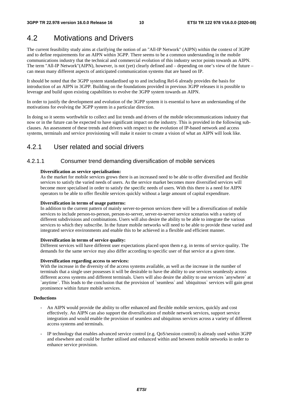# 4.2 Motivations and Drivers

The current feasibility study aims at clarifying the notion of an "All-IP Network" (AIPN) within the context of 3GPP and to define requirements for an AIPN within 3GPP. There seems to be a common understanding in the mobile communications industry that the technical and commercial evolution of this industry sector points towards an AIPN. The term "All-IP Network"(AIPN), however, is not (yet) clearly defined and – depending on one's view of the future – can mean many different aspects of anticipated communication systems that are based on IP.

It should be noted that the 3GPP system standardised up to and including Rel-6 already provides the basis for introduction of an AIPN in 3GPP. Building on the foundations provided in previous 3GPP releases it is possible to leverage and build upon existing capabilities to evolve the 3GPP system towards an AIPN.

In order to justify the development and evolution of the 3GPP system it is essential to have an understanding of the motivations for evolving the 3GPP system in a particular direction.

In doing so it seems worthwhile to collect and list trends and drivers of the mobile telecommunications industry that now or in the future can be expected to have significant impact on the industry. This is provided in the following subclauses. An assessment of these trends and drivers with respect to the evolution of IP-based network and access systems, terminals and service provisioning will make it easier to create a vision of what an AIPN will look like.

### 4.2.1 User related and social drivers

#### 4.2.1.1 Consumer trend demanding diversification of mobile services

#### **Diversification as service specialisation:**

As the market for mobile services grows there is an increased need to be able to offer diversified and flexible services to satisfy the varied needs of users. As the service market becomes more diversified services will become more specialised in order to satisfy the specific needs of users. With this there is a need for AIPN operators to be able to offer flexible services quickly without a large amount of capital expenditure.

#### **Diversification in terms of usage patterns:**

In addition to the current pattern of mainly server-to-person services there will be a diversification of mobile services to include person-to-person, person-to-server, server-to-server service scenarios with a variety of different subdivisions and combinations. Users will also desire the ability to be able to integrate the various services to which they subscribe. In the future mobile networks will need to be able to provide these varied and integrated service environments and enable this to be achieved in a flexible and efficient manner.

#### **Diversification in terms of service quality:**

Different services will have different user expectations placed upon them e.g. in terms of service quality. The demands for the same service may also differ according to specific user of that service at a given time.

#### **Diversification regarding access to services:**

With the increase in the diversity of the access systems available, as well as the increase in the number of terminals that a single user possesses it will be desirable to have the ability to use services seamlessly across different access systems and different terminals. Users will also desire the ability to use services `anywhere` at `anytime`. This leads to the conclusion that the provision of `seamless` and `ubiquitous` services will gain great prominence within future mobile services.

#### **Deductions**

- An AIPN would provide the ability to offer enhanced and flexible mobile services, quickly and cost effectively. An AIPN can also support the diversification of mobile network services, support service integration and would enable the provision of seamless and ubiquitous services across a variety of different access systems and terminals.
- IP technology that enables advanced service control (e.g. QoS/session control) is already used within 3GPP and elsewhere and could be further utilised and enhanced within and between mobile networks in order to enhance service provision.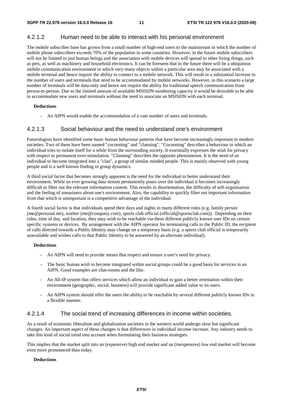#### 4.2.1.2 Human need to be able to interact with his personal environment

The mobile subscriber base has grown from a small number of high-end users to the mainstream in which the number of mobile phone subscribers exceeds 70% of the population in some countries. However, in the future mobile subscribers will not be limited to just human beings and the association with mobile devices will spread to other living things, such as pets, as well as machinery and household electronics. It can be foreseen that in the future there will be a ubiquitous mobile communication environment in which very many objects within a particular area may be associated with a mobile terminal and hence require the ability to connect to a mobile network. This will result in a substantial increase in the number of users and terminals that need to be accommodated by mobile networks. However, in this scenario a large number of terminals will be data-only and hence not require the ability for traditional speech communication from person-to-person. Due to the limited amount of available MSISDN numbering capacity it would be desirable to be able to accommodate new users and terminals without the need to associate an MSISDN with each terminal.

#### **Deductions**

An AIPN would enable the accommodation of a vast number of users and terminals.

#### 4.2.1.3 Social behaviour and the need to understand one's environment

Futurologists have identified some basic human behaviour patterns that have become increasingly important in modern societies. Two of them have been named "cocooning" and "clanning". "Cocooning" describes a behaviour in which an individual tries to isolate itself for a while from the surrounding society. It essentially expresses the wish for privacy with respect to permanent over-stimulation. "Clanning" describes the opposite phenomenon. It is the need of an individual to become integrated into a "clan", a group of similar minded people. This is mainly observed with young people and is a well known finding in group dynamics.

A third social factor that becomes strongly apparent is the need for the individual to better understand their environment. While an ever growing data stream permanently pours over the individual it becomes increasingly difficult to filter out the relevant information content. This results in disorientation, the difficulty of self-organisation and the feeling of uneasiness about one's environment. Also, the capability to quickly filter out important information from that which is unimportant is a competitive advantage of the individual.

A fourth social factor is that individuals spend their days and nights in many different roles (e.g. family person (me@personal.net), worker (me@company.com), sports club official (official@sportsclub.com)). Depending on their roles, time of day, and location, they may wish to be reachable via these different publicly known user IDs on certain specific systems or devices. By arrangement with the AIPN operator for terminating calls to the Public ID, the recipient of calls directed towards a Public Identity may change on a temporary basis (e.g. a sports club official is temporarily unavailable and wishes calls to that Public Identity to be answered by an alternate individual).

#### **Deductions**

- An AIPN will need to provide means that respect and ensure a user's need for privacy.
- The basic human wish to become integrated within social groups could be a good basis for services in an AIPN. Good examples are chat-rooms and the like.
- An All-IP system that offers services which allow an individual to gain a better orientation within their environment (geographic, social, business) will provide significant added value to its users.
- An AIPN system should offer the users the ability to be reachable by several different publicly known IDs in a flexible manner.

#### 4.2.1.4 The social trend of increasing differences in income within societies.

As a result of economic liberalism and globalisation societies in the western world undergo slow but significant changes. An important aspect of these changes is that differences in individual income increase. Any industry needs to take this kind of social trend into account when formulating their business strategies.

This implies that the market split into an (expensive) high end market and an (inexpensive) low end market will become even more pronounced than today.

#### **Deductions**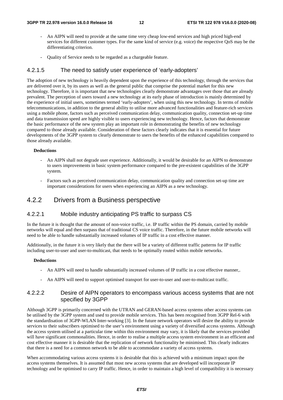- An AIPN will need to provide at the same time very cheap low-end services and high priced high-end services for different customer types. For the same kind of service (e.g. voice) the respective QoS may be the differentiating criterion.
- Quality of Service needs to be regarded as a chargeable feature.

#### 4.2.1.5 The need to satisfy user experience of 'early-adopters'

The adoption of new technology is heavily dependent upon the experience of this technology, through the services that are delivered over it, by its users as well as the general public that comprise the potential market for this new technology. Therefore, it is important that new technologies clearly demonstrate advantages over those that are already prevalent. The perception of users toward a new technology at its early phase of introduction is mainly determined by the experience of initial users, sometimes termed 'early-adopters', when using this new technology. In terms of mobile telecommunications, in addition to the general ability to utilise more advanced functionalities and feature-rich services using a mobile phone, factors such as perceived communication delay, communication quality, connection set-up time and data transmission speed are highly visible to users experiencing new technology. Hence, factors that demonstrate the basic performance of the new system play an important role in demonstrating the benefits of new technology compared to those already available. Consideration of these factors clearly indicates that it is essential for future developments of the 3GPP system to clearly demonstrate to users the benefits of the enhanced capabilities compared to those already available.

#### **Deductions**

- An AIPN shall not degrade user experience. Additionally, it would be desirable for an AIPN to demonstrate to users improvements in basic system performance compared to the pre-existent capabilities of the 3GPP system.
- Factors such as perceived communication delay, communication quality and connection set-up time are important considerations for users when experiencing an AIPN as a new technology.

### 4.2.2 Drivers from a Business perspective

#### 4.2.2.1 Mobile industry anticipating PS traffic to surpass CS

In the future it is thought that the amount of non-voice traffic, i.e. IP traffic within the PS domain, carried by mobile networks will equal and then surpass that of traditional CS voice traffic. Therefore, in the future mobile networks will need to be able to handle substantially increased volumes of IP traffic in a cost effective manner.

Additionally, in the future it is very likely that the there will be a variety of different traffic patterns for IP traffic including user-to-user and user-to-multicast, that needs to be optimally routed within mobile networks.

#### **Deductions**

- An AIPN will need to handle substantially increased volumes of IP traffic in a cost effective manner,.
- An AIPN will need to support optimised transport for user-to-user and user-to-multicast traffic.

#### 4.2.2.2 Desire of AIPN operators to encompass various access systems that are not specified by 3GPP

Although 3GPP is primarily concerned with the UTRAN and GERAN-based access systems other access systems can be utilised by the 3GPP system and used to provide mobile services. This has been recognised from 3GPP Rel-6 with the standardisation of 3GPP-WLAN Inter-working [3]. In the future network operators will desire the ability to provide services to their subscribers optimised to the user's environment using a variety of diversified access systems. Although the access system utilised at a particular time within this environment may vary, it is likely that the services provided will have significant commonalities. Hence, in order to realise a multiple access system environment in an efficient and cost effective manner it is desirable that the replication of network functionality be minimised. This clearly indicates that there is a need for a common network to be able to accommodate a variety of access systems.

When accommodating various access systems it is desirable that this is achieved with a minimum impact upon the access systems themselves. It is assumed that most new access systems that are developed will incorporate IP technology and be optimised to carry IP traffic. Hence, in order to maintain a high level of compatibility it is necessary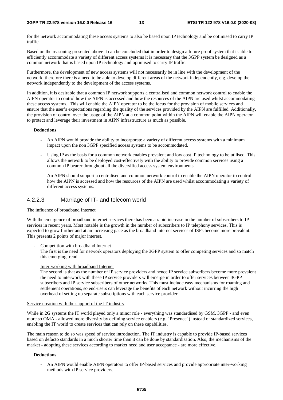for the network accommodating these access systems to also be based upon IP technology and be optimised to carry IP traffic.

Based on the reasoning presented above it can be concluded that in order to design a future proof system that is able to efficiently accommodate a variety of different access systems it is necessary that the 3GPP system be designed as a common network that is based upon IP technology and optimised to carry IP traffic.

Furthermore, the development of new access systems will not necessarily be in line with the development of the network, therefore there is a need to be able to develop different areas of the network independently, e.g. develop the network independently to the development of the access systems.

In addition, it is desirable that a common IP network supports a centralised and common network control to enable the AIPN operator to control how the AIPN is accessed and how the resources of the AIPN are used whilst accommodating these access systems. This will enable the AIPN operator to be the focus for the provision of mobile services and ensure that the user's expectations regarding the quality of the services provided by the AIPN are fulfilled. Additionally, the provision of control over the usage of the AIPN at a common point within the AIPN will enable the AIPN operator to protect and leverage their investment in AIPN infrastructure as much as possible.

#### **Deductions**

- An AIPN would provide the ability to incorporate a variety of different access systems with a minimum impact upon the non 3GPP specified access systems to be accommodated.
- Using IP as the basis for a common network enables prevalent and low cost IP technology to be utilised. This allows the network to be deployed cost-effectively with the ability to provide common services using a common IP bearer throughout all the diversified access system environments.
- An AIPN should support a centralised and common network control to enable the AIPN operator to control how the AIPN is accessed and how the resources of the AIPN are used whilst accommodating a variety of different access systems.

#### 4.2.2.3 Marriage of IT- and telecom world

#### The influence of broadband Internet

With the emergence of broadband internet services there has been a rapid increase in the number of subscribers to IP services in recent years. Most notable is the growth in the number of subscribers to IP telephony services. This is expected to grow further and at an increasing pace as the broadband internet services of ISPs become more prevalent. This presents 2 points of major interest.

Competition with broadband Internet

The first is the need for network operators deploying the 3GPP system to offer competing services and so match this emerging trend.

Inter-working with broadband Internet

The second is that as the number of IP service providers and hence IP service subscribers become more prevalent the need to interwork with these IP service providers will emerge in order to offer services between 3GPP subscribers and IP service subscribers of other networks. This must include easy mechanisms for roaming and settlement operations, so end-users can leverage the benefits of each network without incurring the high overhead of setting up separate subscriptions with each service provider.

#### Service creation with the support of the IT industry

While in 2G systems the IT world played only a minor role - everything was standardised by GSM. 3GPP - and even more so OMA - allowed more diversity by defining service enablers (e.g. "Presence") instead of standardized services, enabling the IT world to create services that can rely on these capabilities.

The main reason to do so was speed of service introduction. The IT industry is capable to provide IP-based services based on defacto standards in a much shorter time than it can be done by standardisation. Also, the mechanisms of the market - adopting these services according to market need and user acceptance - are more effective.

#### **Deductions**

- An AIPN would enable AIPN operators to offer IP-based services and provide appropriate inter-working methods with IP service providers.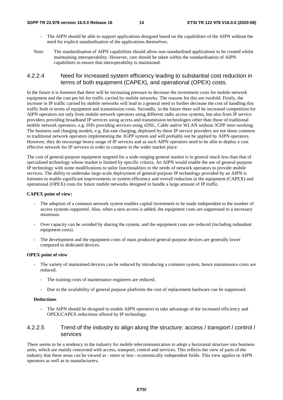- The AIPN should be able to support applications designed based on the capabilities of the AIPN without the need for explicit standardisation of the applications themselves.
- Note: The standardisation of AIPN capabilities should allow non-standardised applications to be created whilst maintaining interoperability. However, care should be taken within the standardisation of AIPN capabilities to ensure that interoperability is maintained.

#### 4.2.2.4 Need for increased system efficiency leading to substantial cost reduction in terms of both equipment (CAPEX), and operational (OPEX) costs.

In the future it is foreseen that there will be increasing pressure to decrease the investment costs for mobile network equipment and the cost per bit for traffic carried by mobile networks. The reasons for this are twofold. Firstly, the increase in IP traffic carried by mobile networks will lead to a general need to further decrease the cost of handling this traffic both in terms of equipment and transmission costs. Secondly, in the future there will be increased competition for AIPN operators not only from mobile network operators using different radio access systems, but also from IP service providers providing broadband IP services using access and transmission technologies other than those of traditional mobile network operators, e.g. ISPs providing services using xDSL, Cable and/or WLAN without 3GPP inter-working. The business and charging models, e.g. flat-rate charging, deployed by these IP service providers are not those common to traditional network operators implementing the 3GPP system and will probably not be applied by AIPN operators. However, they do encourage heavy usage of IP services and as such AIPN operators need to be able to deploy a cost effective network for IP services in order to compete in the wider market place.

The cost of general-purpose equipment targeted for a wide-ranging general market is in general much less than that of specialised technology whose market is limited by specific criteria. An AIPN would enable the use of general-purpose IP technology with some modifications to tailor functionalities to the needs of network operators to provide mobile services. The ability to undertake large-scale deployment of general-purpose IP technology provided by an AIPN is foreseen to enable significant improvements in system efficiency and overall reduction in the equipment (CAPEX) and operational (OPEX) costs for future mobile networks designed to handle a large amount of IP traffic.

#### **CAPEX point of view:**

- The adoption of a common network system enables capital investment to be made independent to the number of access systems supported. Also, when a new access is added, the equipment costs are suppressed to a necessary minimum.
- Over capacity can be avoided by sharing the system, and the equipment costs are reduced (including redundant equipment costs).
- The development and the equipment costs of mass produced general-purpose devices are generally lower compared to dedicated devices.

#### **OPEX point of view**

- The variety of maintained devices can be reduced by introducing a common system, hence maintenance costs are reduced.
	- The training costs of maintenance engineers are reduced.
	- Due to the availability of general purpose platforms the cost of replacement hardware can be suppressed.

#### **Deductions**

- The AIPN should be designed to enable AIPN operators to take advantage of the increased efficiency and OPEX/CAPEX reductions offered by IP technology.

### 4.2.2.5 Trend of the industry to align along the structure: access / transport / control / services

There seems to be a tendency in the industry for mobile telecommunication to adopt a horizontal structure into business units, which are mainly concerned with access, transport, control and services. This reflects the view of parts of the industry that these areas can be viewed as - more or less - economically independent fields. This view applies to AIPN operators as well as to manufacturers.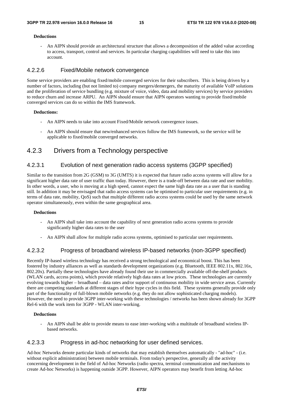#### **Deductions**

An AIPN should provide an architectural structure that allows a decomposition of the added value according to access, transport, control and services. In particular charging capabilities will need to take this into account.

### 4.2.2.6 Fixed/Mobile network convergence

Some service providers are enabling fixed/mobile converged services for their subscribers. This is being driven by a number of factors, including (but not limited to) company mergers/demergers, the maturity of available VoIP solutions and the proliferation of service bundling (e.g. mixture of voice, video, data and mobility services) by service providers to reduce churn and increase ARPU. An AIPN should ensure that AIPN operators wanting to provide fixed/mobile converged services can do so within the IMS framework.

#### **Deductions:**

- An AIPN needs to take into account Fixed/Mobile network convergence issues.
- An AIPN should ensure that new/enhanced services follow the IMS framework, so the service will be applicable to fixed/mobile converged networks.

### 4.2.3 Drivers from a Technology perspective

### 4.2.3.1 Evolution of next generation radio access systems (3GPP specified)

Similar to the transition from 2G (GSM) to 3G (UMTS) it is expected that future radio access systems will allow for a significant higher data rate of user traffic than today. However, there is a trade-off between data rate and user mobility. In other words, a user, who is moving at a high speed, cannot expect the same high data rate as a user that is standing still. In addition it may be envisaged that radio access systems can be optimised to particular user requirements (e.g. in terms of data rate, mobility, QoS) such that multiple different radio access systems could be used by the same network operator simultaneously, even within the same geographical area.

#### **Deductions**

- An AIPN shall take into account the capability of next generation radio access systems to provide significantly higher data rates to the user
- An AIPN shall allow for multiple radio access systems, optimised to particular user requirements.

### 4.2.3.2 Progress of broadband wireless IP-based networks (non-3GPP specified)

Recently IP-based wireless technology has received a strong technological and economical boost. This has been fostered by industry alliances as well as standards development organizations (e.g. Bluetooth, IEEE 802.11x, 802.16x, 802.20x). Partially these technologies have already found their use in commercially available off-the-shelf products (WLAN cards, access points), which provide relatively high data rates at low prices. These technologies are currently evolving towards higher – broadband – data rates and/or support of continuous mobility in wide service areas. Currently there are competing standards at different stages of their hype cycles in this field. These systems generally provide only part of the functionality of full-blown mobile networks (e.g. they do not allow sophisticated charging models). However, the need to provide 3GPP inter-working with these technologies / networks has been shown already for 3GPP Rel-6 with the work item for 3GPP - WLAN inter-working.

#### **Deductions**

An AIPN shall be able to provide means to ease inter-working with a multitude of broadband wireless IPbased networks.

#### 4.2.3.3 Progress in ad-hoc networking for user defined services.

Ad-hoc Networks denote particular kinds of networks that may establish themselves automatically - "ad-hoc" - (i.e. without explicit administration) between mobile terminals. From today's perspective, generally all the activity concerning development in the field of Ad-hoc Networks (radio spectra, terminal communication and mechanisms to create Ad-hoc Networks) is happening outside 3GPP. However, AIPN operators may benefit from letting Ad-hoc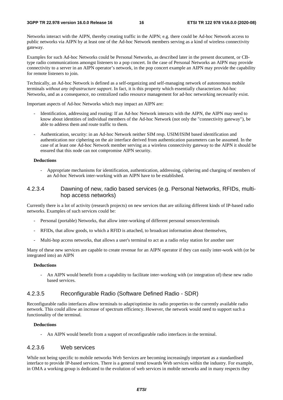Networks interact with the AIPN, thereby creating traffic in the AIPN; e.g. there could be Ad-hoc Network access to public networks via AIPN by at least one of the Ad-hoc Network members serving as a kind of wireless connectivity gateway.

Examples for such Ad-hoc Networks could be Personal Networks, as described later in the present document, or CBtype radio communications amongst listeners to a pop concert. In the case of Personal Networks an AIPN may provide connectivity to a server in an AIPN operator's network, in the pop concert example an AIPN may provide the capability for remote listeners to join.

Technically, an Ad-hoc Network is defined as a self-organizing and self-managing network of autonomous mobile terminals *without any infrastructure support*. In fact, it is this property which essentially characterizes Ad-hoc Networks, and as a consequence, no centralized radio resource management for ad-hoc networking necessarily exist.

Important aspects of Ad-hoc Networks which may impact an AIPN are:

- Identification, addressing and routing: If an Ad-hoc Network interacts with the AIPN, the AIPN may need to know about identities of individual members of the Ad-hoc Network (not only the "connectivity gateway"), be able to address them and route traffic to them.
- Authentication, security: in an Ad-hoc Network neither SIM resp. USIM/ISIM based identification and authentication nor ciphering on the air interface derived from authentication parameters can be assumed. In the case of at least one Ad-hoc Network member serving as a wireless connectivity gateway to the AIPN it should be ensured that this node can not compromise AIPN security.

#### **Deductions**

- Appropriate mechanisms for identification, authentication, addressing, ciphering and charging of members of an Ad-hoc Network inter-working with an AIPN have to be established.

#### 4.2.3.4 Dawning of new, radio based services (e.g. Personal Networks, RFIDs, multihop access networks)

Currently there is a lot of activity (research projects) on new services that are utilizing different kinds of IP-based radio networks. Examples of such services could be:

- Personal (portable) Networks, that allow inter-working of different personal sensors/terminals
- RFIDs, that allow goods, to which a RFID is attached, to broadcast information about themselves,
- Multi-hop access networks, that allows a user's terminal to act as a radio relay station for another user

Many of these new services are capable to create revenue for an AIPN operator if they can easily inter-work with (or be integrated into) an AIPN

#### **Deductions**

- An AIPN would benefit from a capability to facilitate inter-working with (or integration of) these new radio based services.

#### 4.2.3.5 Reconfigurable Radio (Software Defined Radio - SDR)

Reconfigurable radio interfaces allow terminals to adapt/optimise its radio properties to the currently available radio network. This could allow an increase of spectrum efficiency. However, the network would need to support such a functionality of the terminal.

#### **Deductions**

- An AIPN would benefit from a support of reconfigurable radio interfaces in the terminal.

#### 4.2.3.6 Web services

While not being specific to mobile networks Web Services are becoming increasingly important as a standardised interface to provide IP-based services. There is a general trend towards Web services within the industry. For example, in OMA a working group is dedicated to the evolution of web services in mobile networks and in many respects they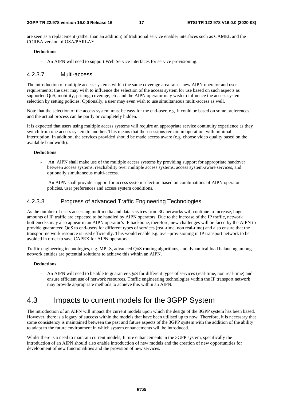are seen as a replacement (rather than an addition) of traditional service enabler interfaces such as CAMEL and the CORBA version of OSA/PARLAY.

#### **Deductions**

- An AIPN will need to support Web Service interfaces for service provisioning.

#### 4.2.3.7 Multi-access

The introduction of multiple access systems within the same coverage area raises new AIPN operator and user requirements; the user may wish to influence the selection of the access system for use based on such aspects as supported QoS, mobility, pricing, coverage, etc. and the AIPN operator may wish to influence the access system selection by setting policies. Optionally, a user may even wish to use simultaneous multi-access as well.

Note that the selection of the access system must be easy for the end-user, e.g. it could be based on some preferences and the actual process can be partly or completely hidden.

It is expected that users using multiple access systems will require an appropriate service continuity experience as they switch from one access system to another. This means that their sessions remain in operation, with minimal interruption. In addition, the services provided should be made access aware (e.g. choose video quality based on the available bandwidth).

#### **Deductions**

- An AIPN shall make use of the multiple access systems by providing support for appropriate handover between access systems, reachability over multiple access systems, access system-aware services, and optionally simultaneous multi-access.
- An AIPN shall provide support for access system selection based on combinations of AIPN operator policies, user preferences and access system conditions.

#### 4.2.3.8 Progress of advanced Traffic Engineering Technologies

As the number of users accessing multimedia and data services from 3G networks will continue to increase, huge amounts of IP traffic are expected to be handled by AIPN operators. Due to the increase of the IP traffic, network bottlenecks may also appear in an AIPN operator's IP backbone, therefore, new challenges will be faced by the AIPN to provide guaranteed QoS to end-users for different types of services (real-time, non real-time) and also ensure that the transport network resource is used efficiently. This would enable e.g. over-provisioning in IP transport network to be avoided in order to save CAPEX for AIPN operators.

Traffic engineering technologies, e.g. MPLS, advanced QoS routing algorithms, and dynamical load balancing among network entities are potential solutions to achieve this within an AIPN.

#### **Deductions**

- An AIPN will need to be able to guarantee QoS for different types of services (real-time, non real-time) and ensure efficient use of network resources. Traffic engineering technologies within the IP transport network may provide appropriate methods to achieve this within an AIPN.

# 4.3 Impacts to current models for the 3GPP System

The introduction of an AIPN will impact the current models upon which the design of the 3GPP system has been based. However, there is a legacy of success within the models that have been utilised up to now. Therefore, it is necessary that some consistency is maintained between the past and future aspects of the 3GPP system with the addition of the ability to adapt to the future environment in which system enhancements will be introduced.

Whilst there is a need to maintain current models, future enhancements in the 3GPP system, specifically the introduction of an AIPN should also enable introduction of new models and the creation of new opportunities for development of new functionalities and the provision of new services.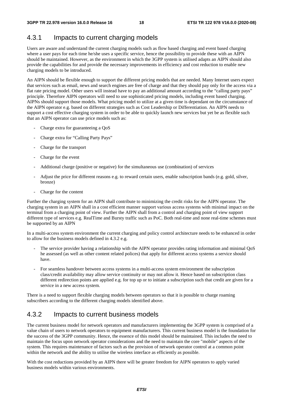# 4.3.1 Impacts to current charging models

Users are aware and understand the current charging models such as flow based charging and event based charging where a user pays for each time he/she uses a specific service, hence the possibility to provide these with an AIPN should be maintained. However, as the environment in which the 3GPP system is utilised adapts an AIPN should also provide the capabilities for and provide the necessary improvements in efficiency and cost reduction to enable new charging models to be introduced.

An AIPN should be flexible enough to support the different pricing models that are needed. Many Internet users expect that services such as email, news and search engines are free of charge and that they should pay only for the access via a flat rate pricing model. Other users will instead have to pay an additional amount according to the "calling party pays" principle. Therefore AIPN operators will need to use sophisticated pricing models, including event based charging. AIPNs should support those models. What pricing model to utilize at a given time is dependant on the circumstance of the AIPN operator e.g. based on different strategies such as Cost Leadership or Differentiation. An AIPN needs to support a cost effective charging system in order to be able to quickly launch new services but yet be as flexible such that an AIPN operator can use price models such as:

- Charge extra for guaranteeing a QoS
- Charge extra for "Calling Party Pays"
- Charge for the transport
- Charge for the event
- Additional charge (positive or negative) for the simultaneous use (combination) of services
- Adjust the price for different reasons e.g. to reward certain users, enable subscription bands (e.g. gold, silver, bronze)
- Charge for the content

Further the charging system for an AIPN shall contribute to minimizing the credit risks for the AIPN operator. The charging system in an AIPN shall in a cost efficient manner support various access systems with minimal impact on the terminal from a charging point of view. Further the AIPN shall from a control and charging point of view support different type of services e.g. RealTime and Bursty traffic such as PoC. Both real-time and none real-time schemes must be supported by an AIPN

In a multi-access system environment the current charging and policy control architecture needs to be enhanced in order to allow for the business models defined in 4.3.2 e.g.

- The service provider having a relationship with the AIPN operator provides rating information and minimal QoS he assessed (as well as other content related polices) that apply for different access systems a service should have.
- For seamless handover between access systems in a multi-access system environment the subscription class/credit availability may allow service continuity or may not allow it. Hence based on subscription class different redirection points are applied e.g. for top up or to initiate a subscription such that credit are given for a service in a new access system.

There is a need to support flexible charging models between operators so that it is possible to charge roaming subscribers according to the different charging models identified above.

# 4.3.2 Impacts to current business models

The current business model for network operators and manufacturers implementing the 3GPP system is comprised of a value chain of users to network operators to equipment manufacturers. This current business model is the foundation for the success of the 3GPP community. Hence, the essence of this model should be maintained. This includes the need to maintain the focus upon network operator considerations and the need to maintain the core "mobile" aspects of the system. This requires maintenance of factors such as the provision of network operator control at a common point within the network and the ability to utilise the wireless interface as efficiently as possible.

With the cost reductions provided by an AIPN there will be greater freedom for AIPN operators to apply varied business models within various environments.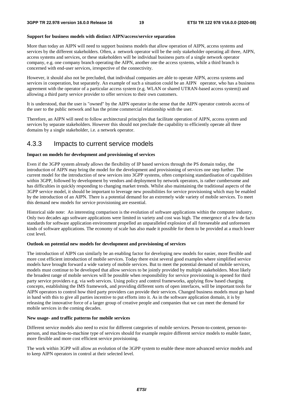#### **Support for business models with distinct AIPN/access/service separation**

More than today an AIPN will need to support business models that allow operation of AIPN, access systems and services by the different stakeholders. Often, a network operator will be the only stakeholder operating all three, AIPN, access systems and services, or these stakeholders will be individual business parts of a single network operator company, e.g. one company branch operating the AIPN, another one the access systems, while a third branch is concerned with end-user services, irrespective of the connectivity.

However, it should also not be precluded, that individual companies are able to operate AIPN, access systems and services in cooperation, but separately. An example of such a situation could be an AIPN operator, who has a business agreement with the operator of a particular access system (e.g. WLAN or shared UTRAN-based access system)) and allowing a third party service provider to offer services to their own customers.

It is understood, that the user is "owned" by the AIPN operator in the sense that the AIPN operator controls access of the user to the public network and has the prime commercial relationship with the user.

Therefore, an AIPN will need to follow architectural principles that facilitate operation of AIPN, access system and services by separate stakeholders. However this should not preclude the capability to efficiently operate all three domains by a single stakeholder, i.e. a network operator.

### 4.3.3 Impacts to current service models

#### **Impact on models for development and provisioning of services**

Even if the 3GPP system already allows the flexibility of IP based services through the PS domain today, the introduction of AIPN may bring the model for the development and provisioning of services one step further. The current model for the introduction of new services into 3GPP systems, often comprising standardisation of capabilities within 3GPP, followed by development by vendors and deployment by network operators, is rather cumbersome and has difficulties in quickly responding to changing market trends. Whilst also maintaining the traditional aspects of the 3GPP service model, it should be important to leverage new possibilities for service provisioning which may be enabled by the introduction of an AIPN. There is a potential demand for an extremely wide variety of mobile services. To meet this demand new models for service provisioning are essential.

Historical side note: An interesting comparison is the evolution of software applications within the computer industry. Only two decades ago software applications were limited in variety and cost was high. The emergence of a few de facto standards for software application environment propelled an unparalleled explosion of all foreseeable and unforeseen kinds of software applications. The economy of scale has also made it possible for them to be provided at a much lower cost level.

#### **Outlook on potential new models for development and provisioning of services**

The introduction of AIPN can similarly be an enabling factor for developing new models for easier, more flexible and more cost efficient introduction of mobile services. Today there exist several good examples where simplified service models have brought forward a wide variety of mobile services. But to meet the potential demand of mobile services, models must continue to be developed that allow services to be jointly provided by multiple stakeholders. Most likely the broadest range of mobile services will be possible when responsibility for service provisioning is opened for third party service providers e.g. via web services. Using policy and control frameworks, applying flow based charging concepts, establishing the IMS framework, and providing different sorts of open interfaces, will be important tools for AIPN operators to control how third party providers can provide their services. Changed business models must go hand in hand with this to give all parties incentive to put efforts into it. As in the software application domain, it is by releasing the innovative force of a larger group of creative people and companies that we can meet the demand for mobile services in the coming decades.

#### **New usage- and traffic patterns for mobile services**

Different service models also need to exist for different categories of mobile services. Person-to-content, person-toperson, and machine-to-machine type of services should for example require different service models to enable faster, more flexible and more cost efficient service provisioning.

The work within 3GPP will allow an evolution of the 3GPP system to enable these more advanced service models and to keep AIPN operators in control at their selected level.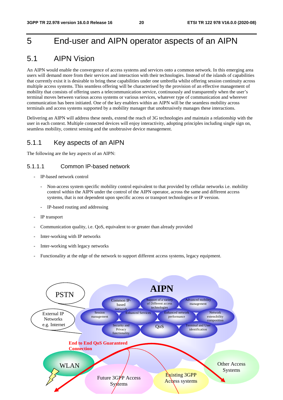# 5 End-user and AIPN operator aspects of an AIPN

# 5.1 AIPN Vision

An AIPN would enable the convergence of access systems and services onto a common network. In this emerging area users will demand more from their services and interaction with their technologies. Instead of the islands of capabilities that currently exist it is desirable to bring these capabilities under one umbrella whilst offering session continuity across multiple access systems. This seamless offering will be characterised by the provision of an effective management of mobility that consists of offering users a telecommunication service, continuously and transparently when the user's terminal moves between various access systems or various services, whatever type of communication and wherever communication has been initiated. One of the key enablers within an AIPN will be the seamless mobility across terminals and access systems supported by a mobility manager that unobtrusively manages these interactions.

Delivering an AIPN will address these needs, extend the reach of 3G technologies and maintain a relationship with the user in each context. Multiple connected devices will enjoy interactivity, adopting principles including single sign on, seamless mobility, context sensing and the unobtrusive device management.

### 5.1.1 Key aspects of an AIPN

The following are the key aspects of an AIPN:

### 5.1.1.1 Common IP-based network

- IP-based network control
	- Non-access system specific mobility control equivalent to that provided by cellular networks *i.e.* mobility control within the AIPN under the control of the AIPN operator, across the same and different access systems, that is not dependent upon specific access or transport technologies or IP version.
	- IP-based routing and addressing
- IP transport
- Communication quality, i.e. OoS, equivalent to or greater than already provided
- Inter-working with IP networks
- Inter-working with legacy networks
- Functionality at the edge of the network to support different access systems, legacy equipment.

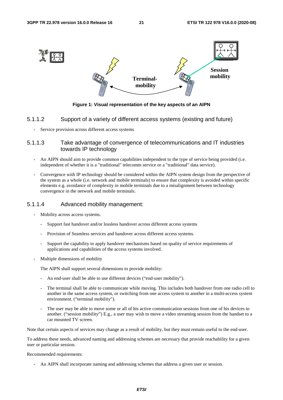

**Figure 1: Visual representation of the key aspects of an AIPN** 

#### 5.1.1.2 Support of a variety of different access systems (existing and future)

Service provision across different access systems

#### 5.1.1.3 Take advantage of convergence of telecommunications and IT industries towards IP technology

- An AIPN should aim to provide common capabilities independent to the type of service being provided (i.e. independent of whether it is a "traditional" telecomm service or a "traditional" data service).
- Convergence with IP technology should be considered within the AIPN system design from the perspective of the system as a whole (i.e. network and mobile terminals) to ensure that complexity is avoided within specific elements e.g. avoidance of complexity in mobile terminals due to a misalignment between technology convergence in the network and mobile terminals.

#### 5.1.1.4 Advanced mobility management:

- Mobility across access systems.
	- Support fast handover and/or lossless handover across different access systems
	- Provision of Seamless services and handover across different access systems.
	- Support the capability to apply handover mechanisms based on quality of service requirements of applications and capabilities of the access systems involved.
- Multiple dimensions of mobility

The AIPN shall support several dimensions to provide mobility:

- An end-user shall be able to use different devices ("end-user mobility").
- The terminal shall be able to communicate while moving. This includes both handover from one radio cell to another in the same access system, or switching from one access system to another in a multi-access system environment. ("terminal mobility").
- The user may be able to move some or all of his active communication sessions from one of his devices to another. ("session mobility") E.g., a user may wish to move a video streaming session from the handset to a car mounted TV screen.

Note that certain aspects of services may change as a result of mobility, but they must remain useful to the end-user.

To address these needs, advanced naming and addressing schemes are necessary that provide reachability for a given user or particular session.

#### Recommended requirements:

- An AIPN shall incorporate naming and addressing schemes that address a given user or session.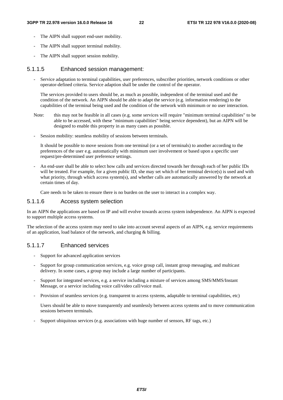- The AIPN shall support end-user mobility.
- The AIPN shall support terminal mobility.
- The AIPN shall support session mobility.

#### 5.1.1.5 Enhanced session management:

- Service adaptation to terminal capabilities, user preferences, subscriber priorities, network conditions or other operator-defined criteria. Service adaption shall be under the control of the operator.

The services provided to users should be, as much as possible, independent of the terminal used and the condition of the network. An AIPN should be able to adapt the service (e.g. information rendering) to the capabilities of the terminal being used and the condition of the network with minimum or no user interaction.

- Note: this may not be feasible in all cases (e.g. some services will require "minimum terminal capabilities" to be able to be accessed, with these "minimum capabilities" being service dependent), but an AIPN will be designed to enable this property in as many cases as possible.
- Session mobility: seamless mobility of sessions between terminals.

It should be possible to move sessions from one terminal (or a set of terminals) to another according to the preferences of the user e.g. automatically with minimum user involvement or based upon a specific user request/pre-determined user preference settings.

- An end-user shall be able to select how calls and services directed towards her through each of her public IDs will be treated. For example, for a given public ID, she may set which of her terminal device(s) is used and with what priority, through which access system(s), and whether calls are automatically answered by the network at certain times of day.

Care needs to be taken to ensure there is no burden on the user to interact in a complex way.

#### 5.1.1.6 Access system selection

In an AIPN the applications are based on IP and will evolve towards access system independence. An AIPN is expected to support multiple access systems.

The selection of the access system may need to take into account several aspects of an AIPN, e.g. service requirements of an application, load balance of the network, and charging & billing.

#### 5.1.1.7 Enhanced services

- Support for advanced application services
- Support for group communication services, e.g. voice group call, instant group messaging, and multicast delivery. In some cases, a group may include a large number of participants.
- Support for integrated services, e.g. a service including a mixture of services among SMS/MMS/Instant Message, or a service including voice call/video call/voice mail.
- Provision of seamless services (e.g. transparent to access systems, adaptable to terminal capabilities, etc)

 Users should be able to move transparently and seamlessly between access systems and to move communication sessions between terminals.

- Support ubiquitous services (e.g. associations with huge number of sensors, RF tags, etc.)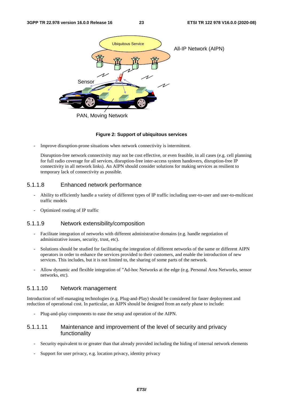

#### **Figure 2: Support of ubiquitous services**

Improve disruption-prone situations when network connectivity is intermittent.

Disruption-free network connectivity may not be cost effective, or even feasible, in all cases (e.g. cell planning for full radio coverage for all services, disruption-free inter-access system handovers, disruption-free IP connectivity in all network links). An AIPN should consider solutions for making services as resilient to temporary lack of connectivity as possible.

#### 5.1.1.8 Enhanced network performance

- Ability to efficiently handle a variety of different types of IP traffic including user-to-user and user-to-multicast traffic models
- Optimized routing of IP traffic

#### 5.1.1.9 Network extensibility/composition

- Facilitate integration of networks with different administrative domains (e.g. handle negotiation of administrative issues, security, trust, etc).
- Solutions should be studied for facilitating the integration of different networks of the same or different AIPN operators in order to enhance the services provided to their customers, and enable the introduction of new services. This includes, but it is not limited to, the sharing of some parts of the network.
- Allow dynamic and flexible integration of "Ad-hoc Networks at the edge (e.g. Personal Area Networks, sensor networks, etc).

#### 5.1.1.10 Network management

Introduction of self-managing technologies (e.g. Plug-and-Play) should be considered for faster deployment and reduction of operational cost. In particular, an AIPN should be designed from an early phase to include:

- Plug-and-play components to ease the setup and operation of the AIPN.

#### 5.1.1.11 Maintenance and improvement of the level of security and privacy functionality

- Security equivalent to or greater than that already provided including the hiding of internal network elements
- Support for user privacy, e.g. location privacy, identity privacy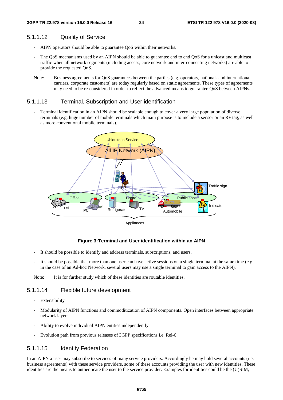#### 5.1.1.12 Quality of Service

- AIPN operators should be able to guarantee QoS within their networks.
- The QoS mechanisms used by an AIPN should be able to guarantee end to end QoS for a unicast and multicast traffic when all network segments (including access, core network and inter-connecting networks) are able to provide the requested QoS.
- Note: Business agreements for QoS guarantees between the parties (e.g. operators, national- and international carriers, corporate customers) are today regularly based on static agreements. These types of agreements may need to be re-considered in order to reflect the advanced means to guarantee QoS between AIPNs.

#### 5.1.1.13 Terminal, Subscription and User identification

Terminal identification in an AIPN should be scalable enough to cover a very large population of diverse terminals (e.g. huge number of mobile terminals which main purpose is to include a sensor or an RF tag, as well as more conventional mobile terminals).



#### **Figure 3: Terminal and User identification within an AIPN**

- It should be possible to identify and address terminals, subscriptions, and users.
- It should be possible that more than one user can have active sessions on a single terminal at the same time (e.g. in the case of an Ad-hoc Network, several users may use a single terminal to gain access to the AIPN).

Note: It is for further study which of these identities are routable identities.

#### 5.1.1.14 Flexible future development

- Extensibility
- Modularity of AIPN functions and commoditization of AIPN components. Open interfaces between appropriate network layers
- Ability to evolve individual AIPN entities independently
- Evolution path from previous releases of 3GPP specifications i.e. Rel-6

#### 5.1.1.15 Identity Federation

In an AIPN a user may subscribe to services of many service providers. Accordingly he may hold several accounts (i.e. business agreements) with these service providers, some of these accounts providing the user with new identities. These identities are the means to authenticate the user to the service provider. Examples for identities could be the (U)SIM,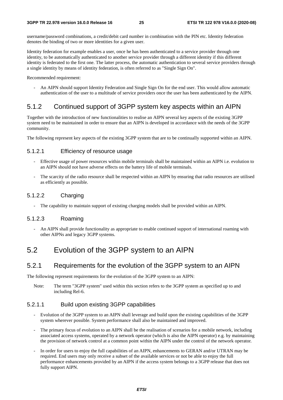username/password combinations, a credit/debit card number in combination with the PIN etc. Identity federation denotes the binding of two or more identities for a given user.

Identity federation for example enables a user, once he has been authenticated to a service provider through one identity, to be automatically authenticated to another service provider through a different identity if this different identity is federated to the first one. The latter process, the automatic authentication to several service providers through a single identity by means of identity federation, is often referred to as "Single Sign On".

Recommended requirement:

- An AIPN should support Identity Federation and Single Sign On for the end user. This would allow automatic authentication of the user to a multitude of service providers once the user has been authenticated by the AIPN.

### 5.1.2 Continued support of 3GPP system key aspects within an AIPN

Together with the introduction of new functionalities to realise an AIPN several key aspects of the existing 3GPP system need to be maintained in order to ensure that an AIPN is developed in accordance with the needs of the 3GPP community.

The following represent key aspects of the existing 3GPP system that are to be continually supported within an AIPN.

#### 5.1.2.1 Efficiency of resource usage

- Effective usage of power resources within mobile terminals shall be maintained within an AIPN i.e. evolution to an AIPN should not have adverse effects on the battery life of mobile terminals.
- The scarcity of the radio resource shall be respected within an AIPN by ensuring that radio resources are utilised as efficiently as possible.

#### 5.1.2.2 Charging

The capability to maintain support of existing charging models shall be provided within an AIPN.

#### 5.1.2.3 Roaming

- An AIPN shall provide functionality as appropriate to enable continued support of international roaming with other AIPNs and legacy 3GPP systems.

# 5.2 Evolution of the 3GPP system to an AIPN

### 5.2.1 Requirements for the evolution of the 3GPP system to an AIPN

The following represent requirements for the evolution of the 3GPP system to an AIPN:

Note: The term "3GPP system" used within this section refers to the 3GPP system as specified up to and including Rel-6.

#### 5.2.1.1 Build upon existing 3GPP capabilities

- Evolution of the 3GPP system to an AIPN shall leverage and build upon the existing capabilities of the 3GPP system wherever possible. System performance shall also be maintained and improved.
- The primary focus of evolution to an AIPN shall be the realisation of scenarios for a mobile network, including associated access systems, operated by a network operator (which is also the AIPN operator) e.g. by maintaining the provision of network control at a common point within the AIPN under the control of the network operator.
- In order for users to enjoy the full capabilities of an AIPN, enhancements to GERAN and/or UTRAN may be required. End users may only receive a subset of the available services or not be able to enjoy the full performance enhancements provided by an AIPN if the access system belongs to a 3GPP release that does not fully support AIPN.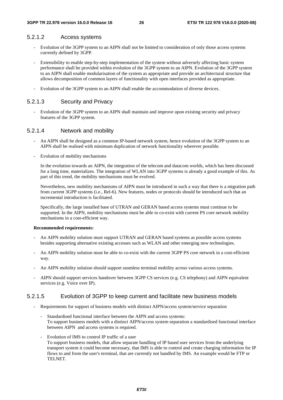#### 5.2.1.2 Access systems

- Evolution of the 3GPP system to an AIPN shall not be limited to consideration of only those access systems currently defined by 3GPP.
- Extensibility to enable step-by-step implementation of the system without adversely affecting basic system performance shall be provided within evolution of the 3GPP system to an AIPN. Evolution of the 3GPP system to an AIPN shall enable modularisation of the system as appropriate and provide an architectural structure that allows decomposition of common layers of functionality with open interfaces provided as appropriate.
- Evolution of the 3GPP system to an AIPN shall enable the accommodation of diverse devices.

#### 5.2.1.3 Security and Privacy

- Evolution of the 3GPP system to an AIPN shall maintain and improve upon existing security and privacy features of the 3GPP system.

#### 5.2.1.4 Network and mobility

- An AIPN shall be designed as a common IP-based network system, hence evolution of the 3GPP system to an AIPN shall be realised with minimum duplication of network functionality wherever possible.
- Evolution of mobility mechanisms

 In the evolution towards an AIPN, the integration of the telecom and datacom worlds, which has been discussed for a long time, materializes. The integration of WLAN into 3GPP systems is already a good example of this. As part of this trend, the mobility mechanisms must be evolved.

 Nevertheless, new mobility mechanisms of AIPN must be introduced in such a way that there is a migration path from current 3GPP systems (i.e., Rel-6). New features, nodes or protocols should be introduced such that an incremental introduction is facilitated.

 Specifically, the large installed base of UTRAN and GERAN based access systems must continue to be supported. In the AIPN, mobility mechanisms must be able to co-exist with current PS core network mobility mechanisms in a cost-efficient way.

#### **Recommended requirements:**

- An AIPN mobility solution must support UTRAN and GERAN based systems as possible access systems besides supporting alternative existing accesses such as WLAN and other emerging new technologies.
- An AIPN mobility solution must be able to co-exist with the current 3GPP PS core network in a cost-efficient way.
- An AIPN mobility solution should support seamless terminal mobility across various access systems.
- AIPN should support services handover between 3GPP CS services (e.g. CS telephony) and AIPN equivalent services (e.g. Voice over IP).

#### 5.2.1.5 Evolution of 3GPP to keep current and facilitate new business models

- Requirements for support of business models with distinct AIPN/access system/service separation
	- Standardised functional interface between the AIPN and access systems: To support business models with a distinct AIPN/access system separation a standardised functional interface between AIPN and access systems is required.
	- Evolution of IMS to control IP traffic of a user To support business models, that allow separate handling of IP based user services from the underlying transport system it could become necessary, that IMS is able to control and create charging information for IP flows to and from the user's terminal, that are currently not handled by IMS. An example would be FTP or TELNET.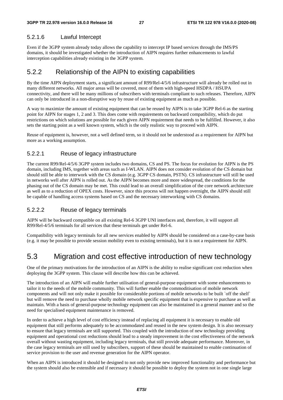### 5.2.1.6 Lawful Intercept

Even if the 3GPP system already today allows the capability to intercept IP based services through the IMS/PS domains, it should be investigated whether the introduction of AIPN requires further enhancements to lawful interception capabilities already existing in the 3GPP system.

### 5.2.2 Relationship of the AIPN to existing capabilities

By the time AIPN deployment starts, a significant amount of R99/Rel-4/5/6 infrastructure will already be rolled out in many different networks. All major areas will be covered, most of them with high-speed HSDPA / HSUPA connectivity, and there will be many millions of subscribers with terminals compliant to such releases. Therefore, AIPN can only be introduced in a non-disruptive way by reuse of existing equipment as much as possible.

A way to maximize the amount of existing equipment that can be reused by AIPN is to take 3GPP Rel-6 as the starting point for AIPN for stages 1, 2 and 3. This does come with requirements on backward compatibility, which do put restrictions on which solutions are possible for each given AIPN requirement that needs to be fulfilled. However, it also sets the starting point as a well known system, which is the only realistic way to proceed with AIPN.

Reuse of equipment is, however, not a well defined term, so it should not be understood as a requirement for AIPN but more as a working assumption.

### 5.2.2.1 Reuse of legacy infrastructure

The current R99/Rel-4/5/6 3GPP system includes two domains, CS and PS. The focus for evolution for AIPN is the PS domain, including IMS, together with areas such as I-WLAN. AIPN does not consider evolution of the CS domain but should still be able to interwork with the CS domain (e.g. 3GPP CS domain, PSTN). CS infrastructure will still be used in networks well after AIPN is rolled out. As the AIPN becomes more and more widespread, the conditions for the phasing out of the CS domain may be met. This could lead to an overall simplification of the core network architecture as well as to a reduction of OPEX costs. However, since this process will not happen overnight, the AIPN should still be capable of handling access systems based on CS and the necessary interworking with CS domains.

### 5.2.2.2 Reuse of legacy terminals

AIPN will be backward compatible on all existing Rel-6 3GPP UNI interfaces and, therefore, it will support all R99/Rel-4/5/6 terminals for all services that these terminals get under Rel-6.

Compatibility with legacy terminals for all new services enabled by AIPN should be considered on a case-by-case basis (e.g. it may be possible to provide session mobility even to existing terminals), but it is not a requirement for AIPN.

# 5.3 Migration and cost effective introduction of new technology

One of the primary motivations for the introduction of an AIPN is the ability to realise significant cost reduction when deploying the 3GPP system. This clause will describe how this can be achieved.

The introduction of an AIPN will enable further utilisation of general-purpose equipment with some enhancements to tailor it to the needs of the mobile community. This will further enable the commoditisation of mobile network components and will not only make it possible for considerable portions of mobile networks to be built `off the shelf` but will remove the need to purchase wholly mobile network specific equipment that is expensive to purchase as well as maintain. With a basis of general-purpose technology equipment can also be maintained in a general manner and so the need for specialised equipment maintenance is removed.

In order to achieve a high level of cost efficiency instead of replacing all equipment it is necessary to enable old equipment that still performs adequately to be accommodated and reused in the new system design. It is also necessary to ensure that legacy terminals are still supported. This coupled with the introduction of new technology providing equipment and operational cost reductions should lead to a steady improvement in the cost effectiveness of the network overall without wasting equipment, including legacy terminals, that still provide adequate performance. Moreover, in the case legacy terminals are still used by subscribers, support of these should be maintained to enable continuation of service provision to the user and revenue generation for the AIPN operator.

When an AIPN is introduced it should be designed to not only provide new improved functionality and performance but the system should also be extensible and if necessary it should be possible to deploy the system not in one single large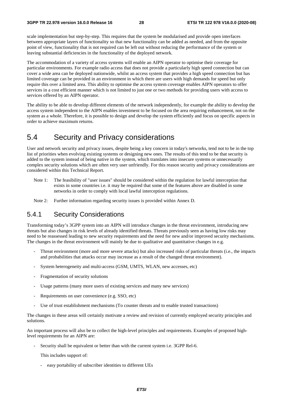scale implementation but step-by-step. This requires that the system be modularised and provide open interfaces between appropriate layers of functionality so that new functionality can be added as needed, and from the opposite point of view, functionality that is not required can be left out without reducing the performance of the system or leaving substantial deficiencies in the functionality of the deployed network.

The accommodation of a variety of access systems will enable an AIPN operator to optimise their coverage for particular environments. For example radio access that does not provide a particularly high speed connection but can cover a wide area can be deployed nationwide, whilst an access system that provides a high speed connection but has limited coverage can be provided in an environment in which there are users with high demands for speed but only require this over a limited area. This ability to optimise the access system coverage enables AIPN operators to offer services in a cost efficient manner which is not limited to just one or two methods for providing users with access to services offered by an AIPN operator.

The ability to be able to develop different elements of the network independently, for example the ability to develop the access system independent to the AIPN enables investment to be focused on the area requiring enhancement, not on the system as a whole. Therefore, it is possible to design and develop the system efficiently and focus on specific aspects in order to achieve maximum returns.

# 5.4 Security and Privacy considerations

User and network security and privacy issues, despite being a key concern in today's networks, tend not to be in the top list of priorities when evolving existing systems or designing new ones. The results of this tend to be that security is added to the system instead of being native in the system, which translates into insecure systems or unnecessarily complex security solutions which are often very user unfriendly. For this reason security and privacy considerations are considered within this Technical Report.

- Note 1: The feasibility of "user issues" should be considered within the regulation for lawful interception that exists in some countries i.e. it may be required that some of the features above are disabled in some networks in order to comply with local lawful interception regulations.
- Note 2: Further information regarding security issues is provided within Annex D.

### 5.4.1 Security Considerations

Transforming today's 3GPP system into an AIPN will introduce changes in the threat environment, introducing new threats but also changes in risk levels of already identified threats. Threats previously seen as having low risks may need to be reassessed leading to new security requirements and the need for new and/or improved security mechanisms. The changes in the threat environment will mainly be due to qualitative and quantitative changes in e.g.

- Threat environment (more and more severe attacks) but also increased risks of particular threats (i.e., the impacts and probabilities that attacks occur may increase as a result of the changed threat environment).
- System heterogeneity and multi-access (GSM, UMTS, WLAN, new accesses, etc)
- Fragmentation of security solutions
- Usage patterns (many more users of existing services and many new services)
- Requirements on user convenience (e.g. SSO, etc)
- Use of trust establishment mechanisms (To counter threats and to enable trusted transactions)

The changes in these areas will certainly motivate a review and revision of currently employed security principles and solutions.

An important process will also be to collect the high-level principles and requirements. Examples of proposed highlevel requirements for an AIPN are:

Security shall be equivalent or better than with the current system i.e. 3GPP Rel-6.

This includes support of:

- easy portability of subscriber identities to different UEs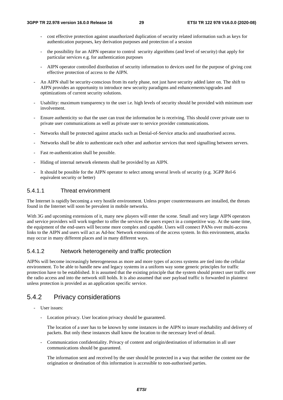- cost effective protection against unauthorized duplication of security related information such as keys for authentication purposes, key derivation purposes and protection of a session
- the possibility for an AIPN operator to control security algorithms (and level of security) that apply for particular services e.g. for authentication purposes
- AIPN operator controlled distribution of security information to devices used for the purpose of giving cost effective protection of access to the AIPN.
- An AIPN shall be security-conscious from its early phase, not just have security added later on. The shift to AIPN provides an opportunity to introduce new security paradigms and enhancements/upgrades and optimizations of current security solutions.
- Usability: maximum transparency to the user i.e. high levels of security should be provided with minimum user involvement.
- Ensure authenticity so that the user can trust the information he is receiving. This should cover private user to private user communications as well as private user to service provider communications.
- Networks shall be protected against attacks such as Denial-of-Service attacks and unauthorised access.
- Networks shall be able to authenticate each other and authorize services that need signalling between servers.
- Fast re-authentication shall be possible.
- Hiding of internal network elements shall be provided by an AIPN.
- It should be possible for the AIPN operator to select among several levels of security (e.g. 3GPP Rel-6 equivalent security or better)

#### 5.4.1.1 Threat environment

The Internet is rapidly becoming a very hostile environment. Unless proper countermeasures are installed, the threats found in the Internet will soon be prevalent in mobile networks.

With 3G and upcoming extensions of it, many new players will enter the scene. Small and very large AIPN operators and service providers will work together to offer the services the users expect in a competitive way. At the same time, the equipment of the end-users will become more complex and capable. Users will connect PANs over multi-access links to the AIPN and users will act as Ad-hoc Network extensions of the access system. In this environment, attacks may occur in many different places and in many different ways.

#### 5.4.1.2 Network heterogeneity and traffic protection

AIPNs will become increasingly heterogeneous as more and more types of access systems are tied into the cellular environment. To be able to handle new and legacy systems in a uniform way some generic principles for traffic protection have to be established. It is assumed that the existing principle that the system should protect user traffic over the radio access and into the network still holds. It is also assumed that user payload traffic is forwarded in plaintext unless protection is provided as an application specific service.

### 5.4.2 Privacy considerations

- User issues:
	- Location privacy. User location privacy should be guaranteed.

 The location of a user has to be known by some instances in the AIPN to insure reachability and delivery of packets. But only these instances shall know the location to the necessary level of detail.

- Communication confidentiality. Privacy of content and origin/destination of information in all user communications should be guaranteed.

 The information sent and received by the user should be protected in a way that neither the content nor the origination or destination of this information is accessible to non-authorised parties.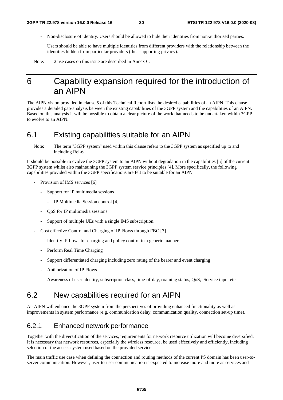Non-disclosure of identity. Users should be allowed to hide their identities from non-authorised parties.

 Users should be able to have multiple identities from different providers with the relationship between the identities hidden from particular providers (thus supporting privacy).

Note: 2 use cases on this issue are described in Annex C.

# 6 Capability expansion required for the introduction of an AIPN

The AIPN vision provided in clause 5 of this Technical Report lists the desired capabilities of an AIPN. This clause provides a detailed gap-analysis between the existing capabilities of the 3GPP system and the capabilities of an AIPN. Based on this analysis it will be possible to obtain a clear picture of the work that needs to be undertaken within 3GPP to evolve to an AIPN.

# 6.1 Existing capabilities suitable for an AIPN

Note: The term "3GPP system" used within this clause refers to the 3GPP system as specified up to and including Rel-6.

It should be possible to evolve the 3GPP system to an AIPN without degradation in the capabilities [5] of the current 3GPP system whilst also maintaining the 3GPP system service principles [4]. More specifically, the following capabilities provided within the 3GPP specifications are felt to be suitable for an AIPN:

- Provision of IMS services [6]
	- Support for IP multimedia sessions
		- IP Multimedia Session control [4]
	- QoS for IP multimedia sessions
	- Support of multiple UEs with a single IMS subscription.
- Cost effective Control and Charging of IP Flows through FBC [7]
	- Identify IP flows for charging and policy control in a generic manner
	- Perform Real Time Charging
	- Support differentiated charging including zero rating of the bearer and event charging
	- Authorization of IP Flows
	- Awareness of user identity, subscription class, time-of-day, roaming status, QoS, Service input etc

# 6.2 New capabilities required for an AIPN

An AIPN will enhance the 3GPP system from the perspectives of providing enhanced functionality as well as improvements in system performance (e.g. communication delay, communication quality, connection set-up time).

### 6.2.1 Enhanced network performance

Together with the diversification of the services, requirements for network resource utilization will become diversified. It is necessary that network resources, especially the wireless resource, be used effectively and efficiently, including selection of the access system used based on the provided service.

The main traffic use case when defining the connection and routing methods of the current PS domain has been user-toserver communication. However, user-to-user communication is expected to increase more and more as services and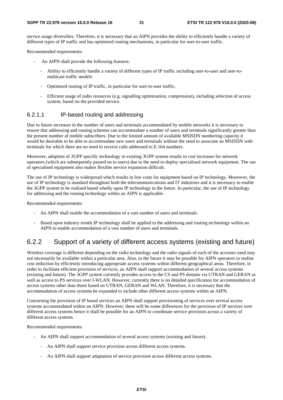service usage diversifies. Therefore, it is necessary that an AIPN provides the ability to efficiently handle a variety of different types of IP traffic and has optimized routing mechanisms, in particular for user-to-user traffic.

Recommended requirements:

- An AIPN shall provide the following features:
	- Ability to efficiently handle a variety of different types of IP traffic including user-to-user and user-tomulticast traffic models
	- Optimized routing of IP traffic, in particular for user-to-user traffic.
	- Efficient usage of radio resources (e.g. signalling optimization, compression), including selection of access system, based on the provided service.

#### 6.2.1.1 IP-based routing and addressing

Due to future increases in the number of users and terminals accommodated by mobile networks it is necessary to ensure that addressing and routing schemes can accommodate a number of users and terminals significantly greater than the present number of mobile subscribers. Due to the limited amount of available MSISDN numbering capacity it would be desirable to be able to accommodate new users and terminals without the need to associate an MSISDN with terminals for which there are no need to receive calls addressed to E.164 numbers.

Moreover, adoption of 3GPP specific technology in existing 3GPP system results in cost increases for network operators (which are subsequently passed on to users) due to the need to deploy specialised network equipment. The use of specialised equipment also makes flexible service expansion difficult.

The use of IP technology is widespread which results in low costs for equipment based on IP technology. Moreover, the use of IP technology is standard throughout both the telecommunications and IT industries and it is necessary to enable the 3GPP system to be realised based wholly upon IP technology in the future. In particular, the use of IP technology for addressing and the routing technology within an AIPN is applicable.

Recommended requirements:

- An AIPN shall enable the accommodation of a vast number of users and terminals.
- Based upon industry trends IP technology shall be applied to the addressing and routing technology within an AIPN to enable accommodation of a vast number of users and terminals.

### 6.2.2 Support of a variety of different access systems (existing and future)

Wireless coverage is different depending on the radio technology and the radio signals of each of the accesses used may not necessarily be available within a particular area. Also, in the future it may be possible for AIPN operators to realise cost reduction by efficiently introducing appropriate access systems within different geographical areas. Therefore, in order to facilitate efficient provision of services, an AIPN shall support accommodation of several access systems (existing and future). The 3GPP system currently provides access to the CS and PS domain via UTRAN and GERAN as well as access to PS services over I-WLAN. However, currently there is no detailed specification for accommodation of access systems other than those based on UTRAN, GERAN and WLAN. Therefore, it is necessary that the accommodation of access systems be expanded to include other different access systems within an AIPN.

Concerning the provision of IP based services an AIPN shall support provisioning of services over several access systems accommodated within an AIPN. However, there will be some differences for the provision of IP services over different access systems hence it shall be possible for an AIPN to coordinate service provision across a variety of different access systems.

Recommended requirements:

- An AIPN shall support accommodation of several access systems (existing and future).
	- An AIPN shall support service provision across different access systems.
	- An AIPN shall support adaptation of service provision across different access systems.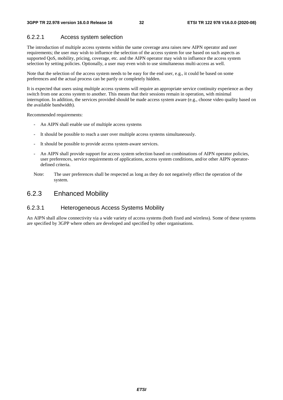### 6.2.2.1 Access system selection

The introduction of multiple access systems within the same coverage area raises new AIPN operator and user requirements; the user may wish to influence the selection of the access system for use based on such aspects as supported QoS, mobility, pricing, coverage, etc. and the AIPN operator may wish to influence the access system selection by setting policies. Optionally, a user may even wish to use simultaneous multi-access as well.

Note that the selection of the access system needs to be easy for the end user, e.g., it could be based on some preferences and the actual process can be partly or completely hidden.

It is expected that users using multiple access systems will require an appropriate service continuity experience as they switch from one access system to another. This means that their sessions remain in operation, with minimal interruption. In addition, the services provided should be made access system aware (e.g., choose video quality based on the available bandwidth).

Recommended requirements:

- An AIPN shall enable use of multiple access systems
- It should be possible to reach a user over multiple access systems simultaneously.
- It should be possible to provide access system-aware services.
- An AIPN shall provide support for access system selection based on combinations of AIPN operator policies, user preferences, service requirements of applications, access system conditions, and/or other AIPN operatordefined criteria.
- Note: The user preferences shall be respected as long as they do not negatively effect the operation of the system.

### 6.2.3 Enhanced Mobility

#### 6.2.3.1 Heterogeneous Access Systems Mobility

An AIPN shall allow connectivity via a wide variety of access systems (both fixed and wireless). Some of these systems are specified by 3GPP where others are developed and specified by other organisations.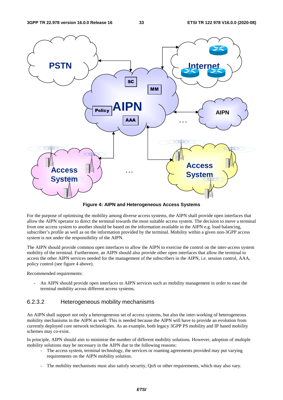

**Figure 4: AIPN and Heterogeneous Access Systems** 

For the purpose of optimising the mobility among diverse access systems, the AIPN shall provide open interfaces that allow the AIPN operator to direct the terminal towards the most suitable access system. The decision to move a terminal from one access system to another should be based on the information available in the AIPN e.g. load balancing, subscriber's profile as well as on the information provided by the terminal. Mobility within a given non-3GPP access system is not under the responsibility of the AIPN.

The AIPN should provide common open interfaces to allow the AIPN to exercise the control on the inter-access system mobility of the terminal. Furthermore, an AIPN should also provide other open interfaces that allow the terminal to access the other AIPN services needed for the management of the subscribers in the AIPN, i.e. session control, AAA, policy control (see figure 4 above).

Recommended requirements:

An AIPN should provide open interfaces to AIPN services such as mobility management in order to ease the terminal mobility across different access systems.

#### 6.2.3.2 Heterogeneous mobility mechanisms

An AIPN shall support not only a heterogeneous set of access systems, but also the inter-working of heterogeneous mobility mechanisms in the AIPN as well. This is needed because the AIPN will have to provide an evolution from currently deployed core network technologies. As an example, both legacy 3GPP PS mobility and IP based mobility schemes may co-exist.

In principle, AIPN should aim to minimise the number of different mobility solutions. However, adoption of multiple mobility solutions may be necessary in the AIPN due to the following reasons:

- The access system, terminal technology, the services or roaming agreements provided may put varying requirements on the AIPN mobility solution.
- The mobility mechanisms must also satisfy security, QoS or other requirements, which may also vary.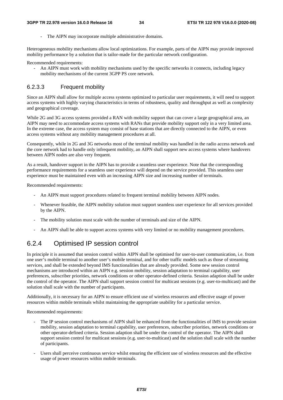The AIPN may incorporate multiple administrative domains.

Heterogeneous mobility mechanisms allow local optimizations. For example, parts of the AIPN may provide improved mobility performance by a solution that is tailor-made for the particular network configuration.

Recommended requirements:

- An AIPN must work with mobility mechanisms used by the specific networks it connects, including legacy mobility mechanisms of the current 3GPP PS core network.

#### 6.2.3.3 Frequent mobility

Since an AIPN shall allow for multiple access systems optimized to particular user requirements, it will need to support access systems with highly varying characteristics in terms of robustness, quality and throughput as well as complexity and geographical coverage.

While 2G and 3G access systems provided a RAN with mobility support that can cover a large geographical area, an AIPN may need to accommodate access systems with RANs that provide mobility support only in a very limited area. In the extreme case, the access system may consist of base stations that are directly connected to the AIPN, or even access systems without any mobility management procedures at all.

Consequently, while in 2G and 3G networks most of the terminal mobility was handled in the radio access network and the core network had to handle only infrequent mobility, an AIPN shall support new access systems where handovers between AIPN nodes are also very frequent.

As a result, handover support in the AIPN has to provide a seamless user experience. Note that the corresponding performance requirements for a seamless user experience will depend on the service provided. This seamless user experience must be maintained even with an increasing AIPN size and increasing number of terminals.

Recommended requirements:

- An AIPN must support procedures related to frequent terminal mobility between AIPN nodes.
- Whenever feasible, the AIPN mobility solution must support seamless user experience for all services provided by the AIPN.
- The mobility solution must scale with the number of terminals and size of the AIPN.
- An AIPN shall be able to support access systems with very limited or no mobility management procedures.

### 6.2.4 Optimised IP session control

In principle it is assumed that session control within AIPN shall be optimised for user-to-user communication, i.e. from one user's mobile terminal to another user's mobile terminal, and for other traffic models such as those of streaming services, and shall be extended beyond IMS functionalities that are already provided. Some new session control mechanisms are introduced within an AIPN e.g. session mobility, session adaptation to terminal capability, user preferences, subscriber priorities, network conditions or other operator-defined criteria. Session adaption shall be under the control of the operator. The AIPN shall support session control for multicast sessions (e.g. user-to-multicast) and the solution shall scale with the number of participants.

Additionally, it is necessary for an AIPN to ensure efficient use of wireless resources and effective usage of power resources within mobile terminals whilst maintaining the appropriate usability for a particular service.

Recommended requirements:

- The IP session control mechanisms of AIPN shall be enhanced from the functionalities of IMS to provide session mobility, session adaptation to terminal capability, user preferences, subscriber priorities, network conditions or other operator-defined criteria. Session adaption shall be under the control of the operator. The AIPN shall support session control for multicast sessions (e.g. user-to-multicast) and the solution shall scale with the number of participants.
- Users shall perceive continuous service whilst ensuring the efficient use of wireless resources and the effective usage of power resources within mobile terminals.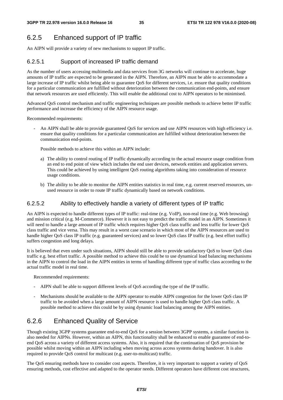# 6.2.5 Enhanced support of IP traffic

An AIPN will provide a variety of new mechanisms to support IP traffic.

### 6.2.5.1 Support of increased IP traffic demand

As the number of users accessing multimedia and data services from 3G networks will continue to accelerate, huge amounts of IP traffic are expected to be generated in the AIPN. Therefore, an AIPN must be able to accommodate a large increase of IP traffic whilst being able to guarantee QoS for different services, i.e. ensure that quality conditions for a particular communication are fulfilled without deterioration between the communication end-points, and ensure that network resources are used efficiently. This will enable the additional cost to AIPN operators to be minimised.

Advanced QoS control mechanism and traffic engineering techniques are possible methods to achieve better IP traffic performance and increase the efficiency of the AIPN resource usage.

Recommended requirements:

An AIPN shall be able to provide guaranteed QoS for services and use AIPN resources with high efficiency i.e. ensure that quality conditions for a particular communication are fulfilled without deterioration between the communication end-points.

Possible methods to achieve this within an AIPN include:

- a) The ability to control routing of IP traffic dynamically according to the actual resource usage condition from an end to end point of view which includes the end user devices, network entities and application servers. This could be achieved by using intelligent QoS routing algorithms taking into consideration of resource usage conditions.
- b) The ability to be able to monitor the AIPN entities statistics in real time, e.g. current reserved resources, unused resource in order to route IP traffic dynamically based on network conditions.

#### 6.2.5.2 Ability to effectively handle a variety of different types of IP traffic

An AIPN is expected to handle different types of IP traffic: real-time (e.g. VoIP), non-real time (e.g. Web browsing) and mission critical (e.g. M-Commerce). However it is not easy to predict the traffic model in an AIPN. Sometimes it will need to handle a large amount of IP traffic which requires higher QoS class traffic and less traffic for lower QoS class traffic and vice versa. This may result in a worst case scenario in which most of the AIPN resources are used to handle higher QoS class IP traffic (e.g. guaranteed services) and so lower QoS class IP traffic (e.g. best effort traffic) suffers congestion and long delays.

It is believed that even under such situations, AIPN should still be able to provide satisfactory QoS to lower QoS class traffic e.g. best effort traffic. A possible method to achieve this could be to use dynamical load balancing mechanisms in the AIPN to control the load in the AIPN entities in terms of handling different type of traffic class according to the actual traffic model in real time.

Recommended requirements:

- AIPN shall be able to support different levels of QoS according the type of the IP traffic.
- Mechanisms should be available to the AIPN operator to enable AIPN congestion for the lower QoS class IP traffic to be avoided when a large amount of AIPN resource is used to handle higher QoS class traffic. A possible method to achieve this could be by using dynamic load balancing among the AIPN entities.

### 6.2.6 Enhanced Quality of Service

Though existing 3GPP systems guarantee end-to-end QoS for a session between 3GPP systems, a similar function is also needed for AIPNs. However, within an AIPN, this functionality shall be enhanced to enable guarantee of end-toend QoS across a variety of different access systems. Also, it is required that the continuation of QoS provision be possible whilst moving within an AIPN including when moving across access systems during handover. It is also required to provide QoS control for multicast (e.g. user-to-multicast) traffic.

The QoS ensuring methods have to consider cost aspects. Therefore, it is very important to support a variety of QoS ensuring methods, cost effective and adapted to the operator needs. Different operators have different cost structures,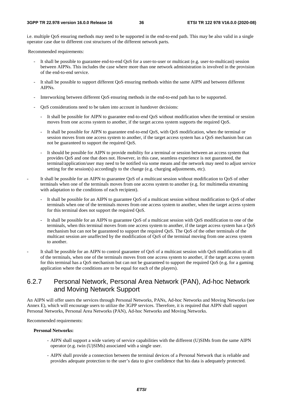i.e. multiple QoS ensuring methods may need to be supported in the end-to-end path. This may be also valid in a single operator case due to different cost structures of the different network parts.

Recommended requirements:

- It shall be possible to guarantee end-to-end QoS for a user-to-user or multicast (e.g. user-to-multicast) session between AIPNs. This includes the case where more than one network administration is involved in the provision of the end-to-end service.
- It shall be possible to support different QoS ensuring methods within the same AIPN and between different AIPNs.
- Interworking between different QoS ensuring methods in the end-to-end path has to be supported.
- QoS considerations need to be taken into account in handover decisions:
	- It shall be possible for AIPN to guarantee end-to-end QoS without modification when the terminal or session moves from one access system to another, if the target access system supports the required QoS.
	- It shall be possible for AIPN to guarantee end-to-end QoS, with QoS modification, when the terminal or session moves from one access system to another, if the target access system has a QoS mechanism but can not be guaranteed to support the required QoS.
	- It should be possible for AIPN to provide mobility for a terminal or session between an access system that provides QoS and one that does not. However, in this case, seamless experience is not guaranteed, the terminal/application/user may need to be notified via some means and the network may need to adjust service setting for the session(s) accordingly to the change (e.g. charging adjustments, etc).
- It shall be possible for an AIPN to guarantee QoS of a multicast session without modification to QoS of other terminals when one of the terminals moves from one access system to another (e.g. for multimedia streaming with adaptation to the conditions of each recipient).
	- It shall be possible for an AIPN to guarantee QoS of a multicast session without modification to QoS of other terminals when one of the terminals moves from one access system to another, when the target access system for this terminal does not support the required QoS.
	- It shall be possible for an AIPN to guarantee QoS of a multicast session with QoS modification to one of the terminals, when this terminal moves from one access system to another, if the target access system has a QoS mechanism but can not be guaranteed to support the required QoS. The QoS of the other terminals of the multicast session are unaffected by the modification of QoS of the terminal moving from one access system to another.
- It shall be possible for an AIPN to control guarantee of QoS of a multicast session with QoS modification to all of the terminals, when one of the terminals moves from one access system to another, if the target access system for this terminal has a QoS mechanism but can not be guaranteed to support the required QoS (e.g. for a gaming application where the conditions are to be equal for each of the players).

### 6.2.7 Personal Network, Personal Area Network (PAN), Ad-hoc Network and Moving Network Support

An AIPN will offer users the services through Personal Networks, PANs, Ad-hoc Networks and Moving Networks (see Annex E), which will encourage users to utilize the 3GPP services. Therefore, it is required that AIPN shall support Personal Networks, Personal Area Networks (PAN), Ad-hoc Networks and Moving Networks.

Recommended requirements:

#### **Personal Networks:**

- AIPN shall support a wide variety of service capabilities with the different (U)SIMs from the same AIPN operator (e.g. twin (U)SIMs) associated with a single user.
- AIPN shall provide a connection between the terminal devices of a Personal Network that is reliable and provides adequate protection to the user's data to give confidence that his data is adequately protected.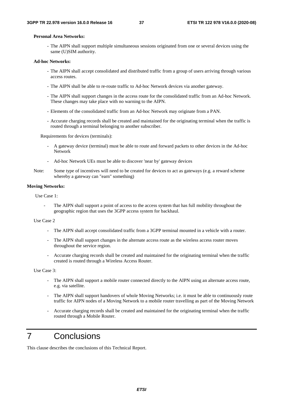#### **Personal Area Networks:**

- The AIPN shall support multiple simultaneous sessions originated from one or several devices using the same (U)SIM authority.

#### **Ad-hoc Networks:**

- The AIPN shall accept consolidated and distributed traffic from a group of users arriving through various access routes.
- The AIPN shall be able to re-route traffic to Ad-hoc Network devices via another gateway.
- The AIPN shall support changes in the access route for the consolidated traffic from an Ad-hoc Network. These changes may take place with no warning to the AIPN.
- Elements of the consolidated traffic from an Ad-hoc Network may originate from a PAN.
- Accurate charging records shall be created and maintained for the originating terminal when the traffic is routed through a terminal belonging to another subscriber.

Requirements for devices (terminals):

- A gateway device (terminal) must be able to route and forward packets to other devices in the Ad-hoc Network
- Ad-hoc Network UEs must be able to discover 'near by' gateway devices
- Note: Some type of incentives will need to be created for devices to act as gateways (e.g. a reward scheme whereby a gateway can "earn" something)

#### **Moving Networks:**

Use Case 1:

The AIPN shall support a point of access to the access system that has full mobility throughout the geographic region that uses the 3GPP access system for backhaul.

#### Use Case 2

- The AIPN shall accept consolidated traffic from a 3GPP terminal mounted in a vehicle with a router.
- The AIPN shall support changes in the alternate access route as the wireless access router moves throughout the service region.
- Accurate charging records shall be created and maintained for the originating terminal when the traffic created is routed through a Wireless Access Router.

Use Case 3:

- The AIPN shall support a mobile router connected directly to the AIPN using an alternate access route, e.g. via satellite.
- The AIPN shall support handovers of whole Moving Networks; i.e. it must be able to continuously route traffic for AIPN nodes of a Moving Network to a mobile router travelling as part of the Moving Network
- Accurate charging records shall be created and maintained for the originating terminal when the traffic routed through a Mobile Router.

# 7 Conclusions

This clause describes the conclusions of this Technical Report.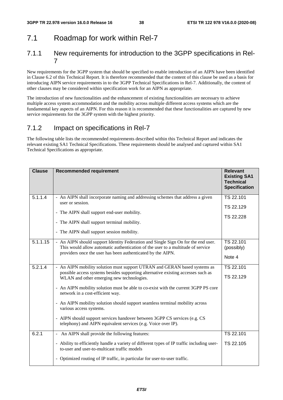# 7.1 Roadmap for work within Rel-7

### 7.1.1 New requirements for introduction to the 3GPP specifications in Rel-7

New requirements for the 3GPP system that should be specified to enable introduction of an AIPN have been identified in Clause 6.2 of this Technical Report. It is therefore recommended that the content of this clause be used as a basis for introducing AIPN service requirements in to the 3GPP Technical Specifications in Rel-7. Additionally, the content of other clauses may be considered within specification work for an AIPN as appropriate.

The introduction of new functionalities and the enhancement of existing functionalities are necessary to achieve multiple access system accommodation and the mobility across multiple different access systems which are the fundamental key aspects of an AIPN. For this reason it is recommended that these functionalities are captured by new service requirements for the 3GPP system with the highest priority.

# 7.1.2 Impact on specifications in Rel-7

The following table lists the recommended requirements described within this Technical Report and indicates the relevant existing SA1 Technical Specifications. These requirements should be analysed and captured within SA1 Technical Specifications as appropriate.

| <b>Clause</b> | <b>Recommended requirement</b>                                                                                                                                                                                                                                                                                                                                                                                                                                                                                                                                                                | <b>Relevant</b><br><b>Existing SA1</b><br><b>Technical</b><br><b>Specification</b> |
|---------------|-----------------------------------------------------------------------------------------------------------------------------------------------------------------------------------------------------------------------------------------------------------------------------------------------------------------------------------------------------------------------------------------------------------------------------------------------------------------------------------------------------------------------------------------------------------------------------------------------|------------------------------------------------------------------------------------|
| 5.1.1.4       | - An AIPN shall incorporate naming and addressing schemes that address a given<br>user or session.<br>- The AIPN shall support end-user mobility.<br>- The AIPN shall support terminal mobility.<br>- The AIPN shall support session mobility.                                                                                                                                                                                                                                                                                                                                                | TS 22.101<br>TS 22.129<br>TS 22.228                                                |
| 5.1.1.15      | - An AIPN should support Identity Federation and Single Sign On for the end user.<br>This would allow automatic authentication of the user to a multitude of service<br>providers once the user has been authenticated by the AIPN.                                                                                                                                                                                                                                                                                                                                                           | TS 22.101<br>(possibly)<br>Note 4                                                  |
| 5.2.1.4       | - An AIPN mobility solution must support UTRAN and GERAN based systems as<br>possible access systems besides supporting alternative existing accesses such as<br>WLAN and other emerging new technologies.<br>- An AIPN mobility solution must be able to co-exist with the current 3GPP PS core<br>network in a cost-efficient way.<br>- An AIPN mobility solution should support seamless terminal mobility across<br>various access systems.<br>- AIPN should support services handover between 3GPP CS services (e.g. CS<br>telephony) and AIPN equivalent services (e.g. Voice over IP). | TS 22.101<br>TS 22.129                                                             |
| 6.2.1         | - An AIPN shall provide the following features:<br>- Ability to efficiently handle a variety of different types of IP traffic including user-<br>to-user and user-to-multicast traffic models<br>- Optimized routing of IP traffic, in particular for user-to-user traffic.                                                                                                                                                                                                                                                                                                                   | TS 22.101<br>TS 22.105                                                             |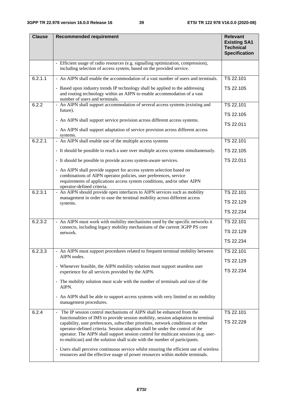| <b>Clause</b> | <b>Recommended requirement</b>                                                                                                                                                                                                                                                                                                                                                                                                                                                                                           | <b>Relevant</b><br><b>Existing SA1</b><br><b>Technical</b><br><b>Specification</b> |
|---------------|--------------------------------------------------------------------------------------------------------------------------------------------------------------------------------------------------------------------------------------------------------------------------------------------------------------------------------------------------------------------------------------------------------------------------------------------------------------------------------------------------------------------------|------------------------------------------------------------------------------------|
|               | - Efficient usage of radio resources (e.g. signalling optimization, compression),<br>including selection of access system, based on the provided service.                                                                                                                                                                                                                                                                                                                                                                |                                                                                    |
| 6.2.1.1       | - An AIPN shall enable the accommodation of a vast number of users and terminals.<br>- Based upon industry trends IP technology shall be applied to the addressing<br>and routing technology within an AIPN to enable accommodation of a vast<br>number of users and terminals.                                                                                                                                                                                                                                          | TS 22.101<br>TS 22.105                                                             |
| 6.2.2         | - An AIPN shall support accommodation of several access systems (existing and<br>future).<br>- An AIPN shall support service provision across different access systems.<br>- An AIPN shall support adaptation of service provision across different access<br>systems.                                                                                                                                                                                                                                                   | TS 22.101<br>TS 22.105<br>TS 22.011                                                |
| 6.2.2.1       | - An AIPN shall enable use of the multiple access systems<br>- It should be possible to reach a user over multiple access systems simultaneously.                                                                                                                                                                                                                                                                                                                                                                        | TS 22.101<br>TS 22.105                                                             |
|               | - It should be possible to provide access system-aware services.                                                                                                                                                                                                                                                                                                                                                                                                                                                         | TS 22.011                                                                          |
|               | - An AIPN shall provide support for access system selection based on<br>combinations of AIPN operator policies, user preferences, service<br>requirements of applications access system conditions, and/or other AIPN<br>operator-defined criteria.                                                                                                                                                                                                                                                                      |                                                                                    |
| 6.2.3.1       | - An AIPN should provide open interfaces to AIPN services such as mobility<br>management in order to ease the terminal mobility across different access<br>systems.                                                                                                                                                                                                                                                                                                                                                      | TS 22.101<br>TS 22.129<br>TS 22.234                                                |
| 6.2.3.2       | - An AIPN must work with mobility mechanisms used by the specific networks it<br>connects, including legacy mobility mechanisms of the current 3GPP PS core<br>network.                                                                                                                                                                                                                                                                                                                                                  | TS 22.101<br>TS 22.129<br>TS 22.234                                                |
| 6.2.3.3       | - An AIPN must support procedures related to frequent terminal mobility between<br>AIPN nodes.<br>- Whenever feasible, the AIPN mobility solution must support seamless user<br>experience for all services provided by the AIPN.                                                                                                                                                                                                                                                                                        | TS 22.101<br>TS 22.129<br>TS 22.234                                                |
|               | - The mobility solution must scale with the number of terminals and size of the<br>AIPN.<br>- An AIPN shall be able to support access systems with very limited or no mobility                                                                                                                                                                                                                                                                                                                                           |                                                                                    |
| 6.2.4         | management procedures.<br>The IP session control mechanisms of AIPN shall be enhanced from the<br>$\blacksquare$                                                                                                                                                                                                                                                                                                                                                                                                         | TS 22.101                                                                          |
|               | functionalities of IMS to provide session mobility, session adaptation to terminal<br>capability, user preferences, subscriber priorities, network conditions or other<br>operator-defined criteria. Session adaption shall be under the control of the<br>operator. The AIPN shall support session control for multicast sessions (e.g. user-<br>to-multicast) and the solution shall scale with the number of participants.<br>- Users shall perceive continuous service whilst ensuring the efficient use of wireless | TS 22.228                                                                          |
|               | resources and the effective usage of power resources within mobile terminals.                                                                                                                                                                                                                                                                                                                                                                                                                                            |                                                                                    |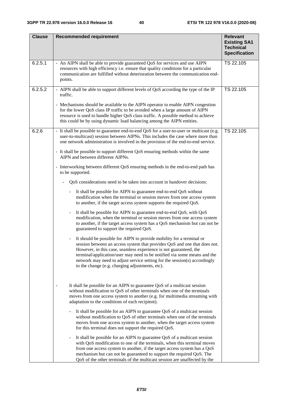| <b>Clause</b> | <b>Recommended requirement</b>                                                                                                                                                                                                                                                                                                                                                                                                     | <b>Relevant</b>                                                 |
|---------------|------------------------------------------------------------------------------------------------------------------------------------------------------------------------------------------------------------------------------------------------------------------------------------------------------------------------------------------------------------------------------------------------------------------------------------|-----------------------------------------------------------------|
|               |                                                                                                                                                                                                                                                                                                                                                                                                                                    | <b>Existing SA1</b><br><b>Technical</b><br><b>Specification</b> |
| 6.2.5.1       | - An AIPN shall be able to provide guaranteed QoS for services and use AIPN<br>resources with high efficiency i.e. ensure that quality conditions for a particular<br>communication are fulfilled without deterioration between the communication end-<br>points.                                                                                                                                                                  | TS 22.105                                                       |
| 6.2.5.2       | - AIPN shall be able to support different levels of QoS according the type of the IP<br>traffic.                                                                                                                                                                                                                                                                                                                                   | TS 22.105                                                       |
|               | - Mechanisms should be available to the AIPN operator to enable AIPN congestion<br>for the lower QoS class IP traffic to be avoided when a large amount of AIPN<br>resource is used to handle higher QoS class traffic. A possible method to achieve<br>this could be by using dynamic load balancing among the AIPN entities.                                                                                                     |                                                                 |
| 6.2.6         | - It shall be possible to guarantee end-to-end QoS for a user-to-user or multicast (e.g.<br>user-to-multicast) session between AIPNs. This includes the case where more than<br>one network administration is involved in the provision of the end-to-end service.                                                                                                                                                                 | TS 22.105                                                       |
|               | - It shall be possible to support different QoS ensuring methods within the same<br>AIPN and between different AIPNs.                                                                                                                                                                                                                                                                                                              |                                                                 |
|               | - Interworking between different QoS ensuring methods in the end-to-end path has<br>to be supported.                                                                                                                                                                                                                                                                                                                               |                                                                 |
|               | QoS considerations need to be taken into account in handover decisions:                                                                                                                                                                                                                                                                                                                                                            |                                                                 |
|               | It shall be possible for AIPN to guarantee end-to-end QoS without<br>$\blacksquare$<br>modification when the terminal or session moves from one access system<br>to another, if the target access system supports the required QoS.                                                                                                                                                                                                |                                                                 |
|               | It shall be possible for AIPN to guarantee end-to-end QoS, with QoS<br>modification, when the terminal or session moves from one access system<br>to another, if the target access system has a QoS mechanism but can not be<br>guaranteed to support the required QoS.                                                                                                                                                            |                                                                 |
|               | It should be possible for AIPN to provide mobility for a terminal or<br>session between an access system that provides QoS and one that does not.<br>However, in this case, seamless experience is not guaranteed, the<br>terminal/application/user may need to be notified via some means and the<br>network may need to adjust service setting for the session(s) accordingly<br>to the change (e.g. charging adjustments, etc). |                                                                 |
|               | It shall be possible for an AIPN to guarantee QoS of a multicast session<br>without modification to QoS of other terminals when one of the terminals<br>moves from one access system to another (e.g. for multimedia streaming with<br>adaptation to the conditions of each recipient).                                                                                                                                            |                                                                 |
|               | It shall be possible for an AIPN to guarantee QoS of a multicast session<br>without modification to QoS of other terminals when one of the terminals<br>moves from one access system to another, when the target access system<br>for this terminal does not support the required QoS.                                                                                                                                             |                                                                 |
|               | It shall be possible for an AIPN to guarantee QoS of a multicast session<br>with QoS modification to one of the terminals, when this terminal moves<br>from one access system to another, if the target access system has a QoS<br>mechanism but can not be guaranteed to support the required QoS. The<br>QoS of the other terminals of the multicast session are unaffected by the                                               |                                                                 |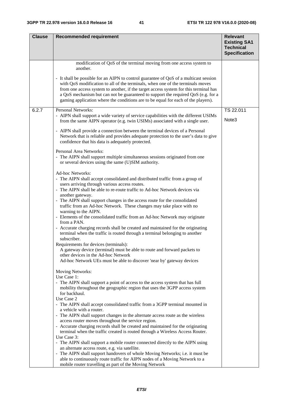| <b>Clause</b> | <b>Recommended requirement</b>                                                                                                                                                                                                                                                                                                                                                                                                            | <b>Relevant</b>                                                 |
|---------------|-------------------------------------------------------------------------------------------------------------------------------------------------------------------------------------------------------------------------------------------------------------------------------------------------------------------------------------------------------------------------------------------------------------------------------------------|-----------------------------------------------------------------|
|               |                                                                                                                                                                                                                                                                                                                                                                                                                                           | <b>Existing SA1</b><br><b>Technical</b><br><b>Specification</b> |
|               | modification of QoS of the terminal moving from one access system to<br>another.                                                                                                                                                                                                                                                                                                                                                          |                                                                 |
|               | - It shall be possible for an AIPN to control guarantee of QoS of a multicast session<br>with QoS modification to all of the terminals, when one of the terminals moves<br>from one access system to another, if the target access system for this terminal has<br>a QoS mechanism but can not be guaranteed to support the required QoS (e.g. for a<br>gaming application where the conditions are to be equal for each of the players). |                                                                 |
| 6.2.7         | Personal Networks:                                                                                                                                                                                                                                                                                                                                                                                                                        | TS 22.011                                                       |
|               | - AIPN shall support a wide variety of service capabilities with the different USIMs<br>from the same AIPN operator (e.g. twin USIMs) associated with a single user.                                                                                                                                                                                                                                                                      | Note <sub>3</sub>                                               |
|               | - AIPN shall provide a connection between the terminal devices of a Personal<br>Network that is reliable and provides adequate protection to the user's data to give<br>confidence that his data is adequately protected.                                                                                                                                                                                                                 |                                                                 |
|               | Personal Area Networks:<br>- The AIPN shall support multiple simultaneous sessions originated from one<br>or several devices using the same (U)SIM authority.                                                                                                                                                                                                                                                                             |                                                                 |
|               | Ad-hoc Networks:<br>- The AIPN shall accept consolidated and distributed traffic from a group of<br>users arriving through various access routes.                                                                                                                                                                                                                                                                                         |                                                                 |
|               | - The AIPN shall be able to re-route traffic to Ad-hoc Network devices via<br>another gateway.                                                                                                                                                                                                                                                                                                                                            |                                                                 |
|               | - The AIPN shall support changes in the access route for the consolidated<br>traffic from an Ad-hoc Network. These changes may take place with no<br>warning to the AIPN.                                                                                                                                                                                                                                                                 |                                                                 |
|               | - Elements of the consolidated traffic from an Ad-hoc Network may originate<br>from a PAN.                                                                                                                                                                                                                                                                                                                                                |                                                                 |
|               | - Accurate charging records shall be created and maintained for the originating<br>terminal when the traffic is routed through a terminal belonging to another<br>subscriber.                                                                                                                                                                                                                                                             |                                                                 |
|               | Requirements for devices (terminals):<br>A gateway device (terminal) must be able to route and forward packets to                                                                                                                                                                                                                                                                                                                         |                                                                 |
|               | other devices in the Ad-hoc Network<br>Ad-hoc Network UEs must be able to discover 'near by' gateway devices                                                                                                                                                                                                                                                                                                                              |                                                                 |
|               | Moving Networks:                                                                                                                                                                                                                                                                                                                                                                                                                          |                                                                 |
|               | Use Case 1:<br>- The AIPN shall support a point of access to the access system that has full                                                                                                                                                                                                                                                                                                                                              |                                                                 |
|               | mobility throughout the geographic region that uses the 3GPP access system<br>for backhaul.<br>Use Case 2                                                                                                                                                                                                                                                                                                                                 |                                                                 |
|               | - The AIPN shall accept consolidated traffic from a 3GPP terminal mounted in                                                                                                                                                                                                                                                                                                                                                              |                                                                 |
|               | a vehicle with a router.<br>- The AIPN shall support changes in the alternate access route as the wireless<br>access router moves throughout the service region.                                                                                                                                                                                                                                                                          |                                                                 |
|               | - Accurate charging records shall be created and maintained for the originating<br>terminal when the traffic created is routed through a Wireless Access Router.                                                                                                                                                                                                                                                                          |                                                                 |
|               | Use Case 3:<br>- The AIPN shall support a mobile router connected directly to the AIPN using                                                                                                                                                                                                                                                                                                                                              |                                                                 |
|               | an alternate access route, e.g. via satellite.<br>- The AIPN shall support handovers of whole Moving Networks; i.e. it must be                                                                                                                                                                                                                                                                                                            |                                                                 |
|               | able to continuously route traffic for AIPN nodes of a Moving Network to a                                                                                                                                                                                                                                                                                                                                                                |                                                                 |
|               | mobile router travelling as part of the Moving Network                                                                                                                                                                                                                                                                                                                                                                                    |                                                                 |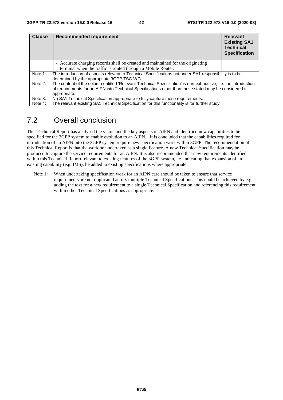| <b>Clause</b> | <b>Recommended requirement</b>                                                                                                                                                                                                           | <b>Relevant</b><br><b>Existing SA1</b><br><b>Technical</b><br><b>Specification</b> |
|---------------|------------------------------------------------------------------------------------------------------------------------------------------------------------------------------------------------------------------------------------------|------------------------------------------------------------------------------------|
|               | - Accurate charging records shall be created and maintained for the originating                                                                                                                                                          |                                                                                    |
|               | terminal when the traffic is routed through a Mobile Router.                                                                                                                                                                             |                                                                                    |
| Note 1:       | The introduction of aspects relevant to Technical Specifications not under SA1 responsibility is to be<br>determined by the appropriate 3GPP TSG WG.                                                                                     |                                                                                    |
| Note 2:       | The content of the column entitled 'Relevant Technical Specification' is non-exhaustive, i.e. the introduction<br>of requirements for an AIPN into Technical Specifications other than those stated may be considered if<br>appropriate. |                                                                                    |
| Note 3:       | No SA1 Technical Specification appropriate to fully capture these requirements.                                                                                                                                                          |                                                                                    |
| Note 4:       | The relevant existing SA1 Technical Specification for this functionality is for further study.                                                                                                                                           |                                                                                    |

# 7.2 Overall conclusion

This Technical Report has analysed the vision and the key aspects of AIPN and identified new capabilities to be specified for the 3GPP system to enable evolution to an AIPN. It is concluded that the capabilities required for introduction of an AIPN into the 3GPP system require new specification work within 3GPP. The recommendation of this Technical Report is that the work be undertaken as a single Feature. A new Technical Specification may be produced to capture the service requirements for an AIPN. It is also recommended that new requirements identified within this Technical Report relevant to existing features of the 3GPP system, i.e. indicating that expansion of an existing capability (e.g. IMS), be added to existing specifications where appropriate.

Note 1: When undertaking specification work for an AIPN care should be taken to ensure that service requirements are not duplicated across multiple Technical Specifications. This could be achieved by e.g. adding the text for a new requirement to a single Technical Specification and referencing this requirement within other Technical Specifications as appropriate.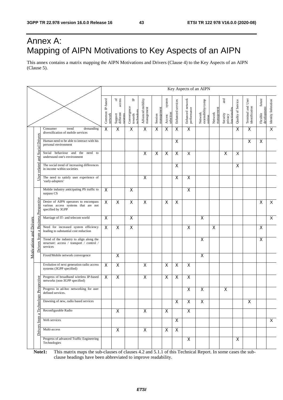# Annex A: Mapping of AIPN Motivations to Key Aspects of an AIPN

This annex contains a matrix mapping the AIPN Motivations and Drivers (Clause 4) to the Key Aspects of an AIPN (Clause 5).

|  |                                         |                                                                                                   | Key Aspects of an AIPN     |                                                         |                                                      |                                 |                       |                               |                         |                                 |                                          |                       |                                             |                    |                                     |                                   |                         |
|--|-----------------------------------------|---------------------------------------------------------------------------------------------------|----------------------------|---------------------------------------------------------|------------------------------------------------------|---------------------------------|-----------------------|-------------------------------|-------------------------|---------------------------------|------------------------------------------|-----------------------|---------------------------------------------|--------------------|-------------------------------------|-----------------------------------|-------------------------|
|  |                                         |                                                                                                   | Common IP-based<br>network | access<br>$\rm ^{6}$<br>Support<br>different<br>systems | $\mathbf{r}$<br>Convergence<br>technology<br>towards | Advanced mobility<br>management | management<br>Session | system<br>selection<br>Access | Enhanced services       | Enhanced network<br>performance | Network<br>extensibility/comp<br>osition | management<br>Network | and<br>functionality<br>Security<br>privacy | Quality of Service | Terminal and User<br>identification | future<br>development<br>Flexible | Identity federation     |
|  |                                         | Consumer<br>demanding<br>trend<br>diversification of mobile services                              | X                          | X                                                       | $\pmb{\times}$                                       | $\overline{\mathsf{x}}$         | X                     | X                             | $\overline{\mathsf{x}}$ | $\overline{\mathsf{x}}$         |                                          |                       |                                             | X                  | X                                   |                                   | $\overline{\mathsf{x}}$ |
|  | <b>Social Drivers</b>                   | Human need to be able to interact with his<br>personal environment                                |                            |                                                         |                                                      |                                 |                       |                               | X                       |                                 |                                          |                       |                                             |                    | X                                   | $\pmb{\times}$                    |                         |
|  | nd<br>and                               | Social behaviour and the<br>need<br>to<br>understand one's environment                            |                            |                                                         |                                                      | $\mathsf X$                     | $\mathsf X$           | X                             | X                       | Χ                               |                                          |                       | $\pmb{\times}$                              | $\mathsf X$        |                                     |                                   |                         |
|  | related                                 | The social trend of increasing differences<br>in income within societies                          |                            |                                                         |                                                      |                                 |                       |                               | X                       |                                 |                                          |                       |                                             | X                  |                                     |                                   |                         |
|  | User                                    | The need to satisfy user experience of<br>'early-adopters'                                        |                            |                                                         |                                                      | X                               |                       |                               | X                       | $\mathsf X$                     |                                          |                       |                                             |                    |                                     |                                   |                         |
|  |                                         | Mobile industry anticipating PS traffic to<br>surpass CS                                          | X                          |                                                         | $\overline{\mathsf{x}}$                              |                                 |                       |                               |                         | X                               |                                          |                       |                                             |                    |                                     |                                   |                         |
|  | <b>Business Perspective</b>             | Desire of AIPN operators to encompass<br>various access systems that are not<br>specified by 3GPP | $\overline{\mathsf{x}}$    | $\overline{\mathsf{x}}$                                 | $\overline{\mathsf{x}}$                              | $\overline{\mathsf{x}}$         |                       | $\overline{\mathsf{x}}$       | $\overline{\mathsf{x}}$ |                                 |                                          |                       |                                             |                    |                                     | $\mathsf X$                       | $\overline{\mathsf{x}}$ |
|  |                                         | Marriage of IT- and telecom world                                                                 | X                          |                                                         | $\pmb{\times}$                                       |                                 |                       |                               |                         |                                 | X                                        |                       |                                             |                    |                                     |                                   | $\times$                |
|  | a                                       | Need for increased system efficiency<br>leading to substantial cost reduction                     | X                          | $\pmb{\times}$                                          | $\overline{\mathsf{x}}$                              |                                 |                       |                               |                         | X                               |                                          | $\mathsf{X}$          |                                             |                    |                                     | X                                 |                         |
|  | Motivations and Drivers<br>Drivers from | Trend of the industry to align along the<br>structure: access / transport / control /<br>services |                            |                                                         |                                                      |                                 |                       |                               |                         |                                 | X                                        |                       |                                             |                    |                                     | X                                 |                         |
|  |                                         | Fixed/Mobile network convergence                                                                  |                            | $\pmb{\times}$                                          |                                                      |                                 |                       |                               |                         |                                 | $\pmb{\mathsf{X}}$                       |                       |                                             |                    |                                     |                                   |                         |
|  |                                         | Evolution of next generation radio access<br>systems (3GPP specified)                             | $\overline{\mathsf{X}}$    | $\mathsf{X}$                                            |                                                      | X                               |                       | X                             | X                       | $\mathsf X$                     |                                          |                       |                                             |                    |                                     |                                   |                         |
|  | Perspective                             | Progress of broadband wireless IP-based<br>networks (non-3GPP specified)                          | X                          | X                                                       |                                                      | $\mathsf X$                     |                       | X                             | $\overline{\mathsf{x}}$ | $\overline{\mathsf{x}}$         |                                          |                       |                                             |                    |                                     |                                   |                         |
|  | Þ.                                      | Progress in ad-hoc networking for user<br>defined services.                                       |                            |                                                         |                                                      |                                 |                       |                               |                         | X                               | $\pmb{\mathsf{X}}$                       |                       | X                                           |                    |                                     |                                   |                         |
|  | Technolo                                | Dawning of new, radio based services                                                              |                            |                                                         |                                                      |                                 |                       |                               | $\mathsf{X}$            | X                               | $\mathsf X$                              |                       |                                             |                    | X                                   |                                   |                         |
|  | ದ                                       | Reconfigurable Radio                                                                              |                            | $\mathsf{X}$                                            |                                                      | $\pmb{\times}$                  |                       | $\pmb{\times}$                |                         | $\pmb{\times}$                  |                                          |                       |                                             |                    |                                     |                                   |                         |
|  | from                                    | Web services                                                                                      |                            |                                                         |                                                      |                                 |                       |                               | X                       |                                 |                                          |                       |                                             |                    |                                     |                                   | X                       |
|  | Drivers                                 | Multi-access                                                                                      |                            | $\mathsf{X}$                                            |                                                      | $\pmb{\times}$                  |                       | X                             | $\mathsf X$             |                                 |                                          |                       |                                             |                    |                                     |                                   |                         |
|  |                                         | Progress of advanced Traffic Engineering<br>Technologies                                          |                            |                                                         |                                                      |                                 |                       |                               |                         | $\pmb{\times}$                  |                                          |                       |                                             | $\pmb{\times}$     |                                     |                                   |                         |

**Note1:** This matrix maps the sub-clauses of clauses 4.2 and 5.1.1 of this Technical Report. In some cases the subclause headings have been abbreviated to improve readability.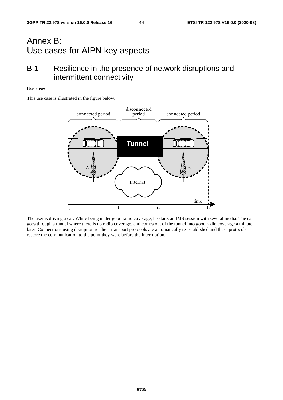# Annex B: Use cases for AIPN key aspects

# B.1 Resilience in the presence of network disruptions and intermittent connectivity

#### **Use case:**

This use case is illustrated in the figure below.



The user is driving a car. While being under good radio coverage, he starts an IMS session with several media. The car goes through a tunnel where there is no radio coverage, and comes out of the tunnel into good radio coverage a minute later. Connections using disruption resilient transport protocols are automatically re-established and these protocols restore the communication to the point they were before the interruption.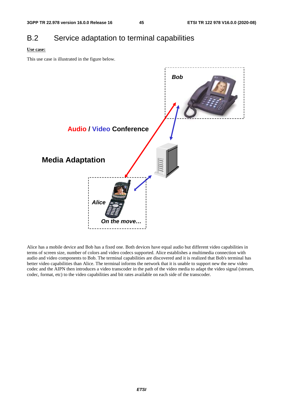# B.2 Service adaptation to terminal capabilities

#### **Use case:**

This use case is illustrated in the figure below.



Alice has a mobile device and Bob has a fixed one. Both devices have equal audio but different video capabilities in terms of screen size, number of colors and video codecs supported. Alice establishes a multimedia connection with audio and video components to Bob. The terminal capabilities are discovered and it is realized that Bob's terminal has better video capabilities than Alice. The terminal informs the network that it is unable to support new the new video codec and the AIPN then introduces a video transcoder in the path of the video media to adapt the video signal (stream, codec, format, etc) to the video capabilities and bit rates available on each side of the transcoder.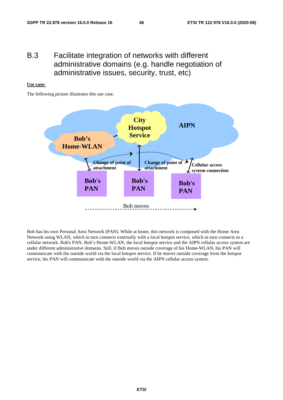# B.3 Facilitate integration of networks with different administrative domains (e.g. handle negotiation of administrative issues, security, trust, etc)

#### **Use case:**

The following picture illustrates this use case.



Bob has his own Personal Area Network (PAN). While at home, this network is composed with the Home Area Network using WLAN, which in turn connects externally with a local hotspot service, which in turn connects to a cellular network. Bob's PAN, Bob's Home-WLAN, the local hotspot service and the AIPN cellular access system are under different administrative domains. Still, if Bob moves outside coverage of his Home-WLAN, his PAN will communicate with the outside world via the local hotspot service. If he moves outside coverage from the hotspot service, his PAN will communicate with the outside world via the AIPN cellular access system.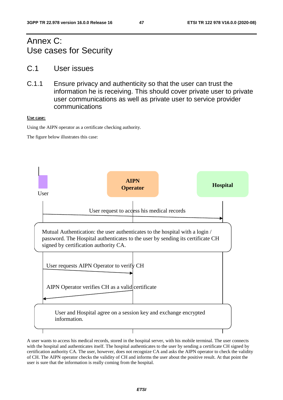# Annex C: Use cases for Security

- C.1 User issues
- C.1.1 Ensure privacy and authenticity so that the user can trust the information he is receiving. This should cover private user to private user communications as well as private user to service provider communications

#### **Use case:**

Using the AIPN operator as a certificate checking authority.

The figure below illustrates this case:



A user wants to access his medical records, stored in the hospital server, with his mobile terminal. The user connects with the hospital and authenticates itself. The hospital authenticates to the user by sending a certificate CH signed by certification authority CA. The user, however, does not recognize CA and asks the AIPN operator to check the validity of CH. The AIPN operator checks the validity of CH and informs the user about the positive result. At that point the user is sure that the information is really coming from the hospital.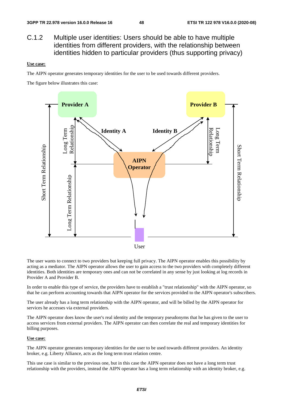C.1.2 Multiple user identities: Users should be able to have multiple identities from different providers, with the relationship between identities hidden to particular providers (thus supporting privacy)

#### **Use case:**

The AIPN operator generates temporary identities for the user to be used towards different providers.

The figure below illustrates this case:



The user wants to connect to two providers but keeping full privacy. The AIPN operator enables this possibility by acting as a mediator. The AIPN operator allows the user to gain access to the two providers with completely different identities. Both identities are temporary ones and can not be correlated in any sense by just looking at log records in Provider A and Provider B.

In order to enable this type of service, the providers have to establish a "trust relationship" with the AIPN operator, so that he can perform accounting towards that AIPN operator for the services provided to the AIPN operator's subscribers.

The user already has a long term relationship with the AIPN operator, and will be billed by the AIPN operator for services he accesses via external providers.

The AIPN operator does know the user's real identity and the temporary pseudonyms that he has given to the user to access services from external providers. The AIPN operator can then correlate the real and temporary identities for billing purposes.

#### **Use case:**

The AIPN operator generates temporary identities for the user to be used towards different providers. An identity broker, e.g. Liberty Alliance, acts as the long term trust relation centre.

This use case is similar to the previous one, but in this case the AIPN operator does not have a long term trust relationship with the providers, instead the AIPN operator has a long term relationship with an identity broker, e.g.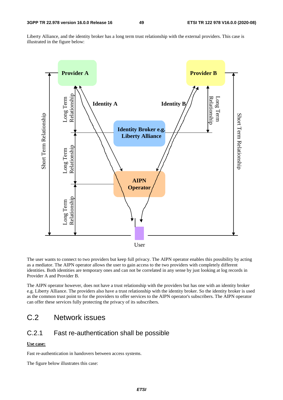Liberty Alliance, and the identity broker has a long term trust relationship with the external providers. This case is illustrated in the figure below:



The user wants to connect to two providers but keep full privacy. The AIPN operator enables this possibility by acting as a mediator. The AIPN operator allows the user to gain access to the two providers with completely different identities. Both identities are temporary ones and can not be correlated in any sense by just looking at log records in Provider A and Provider B.

The AIPN operator however, does not have a trust relationship with the providers but has one with an identity broker e.g. Liberty Alliance. The providers also have a trust relationship with the identity broker. So the identity broker is used as the common trust point to for the providers to offer services to the AIPN operator's subscribers. The AIPN operator can offer these services fully protecting the privacy of its subscribers.

# C.2 Network issues

### C.2.1 Fast re-authentication shall be possible

#### **Use case:**

Fast re-authentication in handovers between access systems.

The figure below illustrates this case: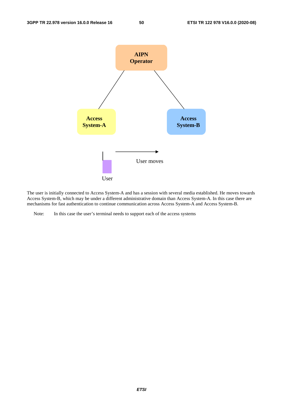

The user is initially connected to Access System-A and has a session with several media established. He moves towards Access System-B, which may be under a different administrative domain than Access System-A. In this case there are mechanisms for fast authentication to continue communication across Access System-A and Access System-B.

Note: In this case the user's terminal needs to support each of the access systems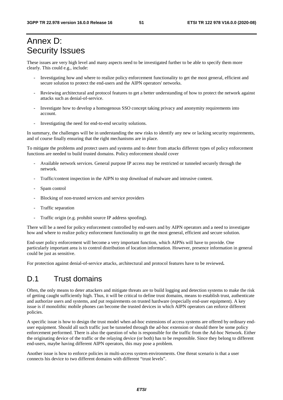# Annex D: Security Issues

These issues are very high level and many aspects need to be investigated further to be able to specify them more clearly. This could e.g., include:

- Investigating how and where to realize policy enforcement functionality to get the most general, efficient and secure solution to protect the end-users and the AIPN operators' networks.
- Reviewing architectural and protocol features to get a better understanding of how to protect the network against attacks such as denial-of-service.
- Investigate how to develop a homogenous SSO concept taking privacy and anonymity requirements into account.
- Investigating the need for end-to-end security solutions.

In summary, the challenges will be in understanding the new risks to identify any new or lacking security requirements, and of course finally ensuring that the right mechanisms are in place.

To mitigate the problems and protect users and systems and to deter from attacks different types of policy enforcement functions are needed to build trusted domains. Policy enforcement should cover

- Available network services. General purpose IP access may be restricted or tunneled securely through the network.
- Traffic/content inspection in the AIPN to stop download of malware and intrusive content.
- Spam control
- Blocking of non-trusted services and service providers
- Traffic separation
- Traffic origin (e.g. prohibit source IP address spoofing).

There will be a need for policy enforcement controlled by end-users and by AIPN operators and a need to investigate how and where to realize policy enforcement functionality to get the most general, efficient and secure solution.

End-user policy enforcement will become a very important function, which AIPNs will have to provide. One particularly important area is to control distribution of location information. However, presence information in general could be just as sensitive.

For protection against denial-of-service attacks, architectural and protocol features have to be reviewed**.** 

# D.1 Trust domains

Often, the only means to deter attackers and mitigate threats are to build logging and detection systems to make the risk of getting caught sufficiently high. Thus, it will be critical to define trust domains, means to establish trust, authenticate and authorize users and systems, and put requirements on trusted hardware (especially end-user equipment). A key issue is if monolithic mobile phones can become the trusted devices in which AIPN operators can enforce different policies.

A specific issue is how to design the trust model when ad-hoc extensions of access systems are offered by ordinary enduser equipment. Should all such traffic just be tunneled through the ad-hoc extension or should there be some policy enforcement performed. There is also the question of who is responsible for the traffic from the Ad-hoc Network. Either the originating device of the traffic or the relaying device (or both) has to be responsible. Since they belong to different end-users, maybe having different AIPN operators, this may pose a problem.

Another issue is how to enforce policies in multi-access system environments. One threat scenario is that a user connects his device to two different domains with different "trust levels".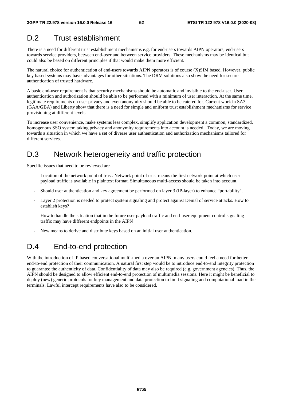# D.2 Trust establishment

There is a need for different trust establishment mechanisms e.g. for end-users towards AIPN operators, end-users towards service providers, between end-user and between service providers. These mechanisms may be identical but could also be based on different principles if that would make them more efficient.

The natural choice for authentication of end-users towards AIPN operators is of course (X)SIM based. However, public key based systems may have advantages for other situations. The DRM solutions also show the need for secure authentication of trusted hardware.

A basic end-user requirement is that security mechanisms should be automatic and invisible to the end-user. User authentication and authorization should be able to be performed with a minimum of user interaction. At the same time, legitimate requirements on user privacy and even anonymity should be able to be catered for. Current work in SA3 (GAA/GBA) and Liberty show that there is a need for simple and uniform trust establishment mechanisms for service provisioning at different levels.

To increase user convenience, make systems less complex, simplify application development a common, standardized, homogenous SSO system taking privacy and anonymity requirements into account is needed. Today, we are moving towards a situation in which we have a set of diverse user authentication and authorization mechanisms tailored for different services.

# D.3 Network heterogeneity and traffic protection

Specific issues that need to be reviewed are

- Location of the network point of trust. Network point of trust means the first network point at which user payload traffic is available in plaintext format. Simultaneous multi-access should be taken into account.
- Should user authentication and key agreement be performed on layer 3 (IP-layer) to enhance "portability".
- Layer 2 protection is needed to protect system signaling and protect against Denial of service attacks. How to establish keys?
- How to handle the situation that in the future user payload traffic and end-user equipment control signaling traffic may have different endpoints in the AIPN
- New means to derive and distribute keys based on an initial user authentication.

# D.4 End-to-end protection

With the introduction of IP based conversational multi-media over an AIPN, many users could feel a need for better end-to-end protection of their communication. A natural first step would be to introduce end-to-end integrity protection to guarantee the authenticity of data. Confidentiality of data may also be required (e.g. government agencies). Thus, the AIPN should be designed to allow efficient end-to-end protection of multimedia sessions. Here it might be beneficial to deploy (new) generic protocols for key management and data protection to limit signaling and computational load in the terminals. Lawful intercept requirements have also to be considered.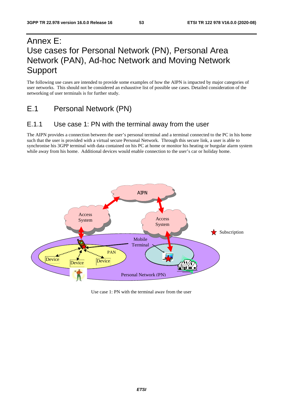# Annex E: Use cases for Personal Network (PN), Personal Area Network (PAN), Ad-hoc Network and Moving Network Support

The following use cases are intended to provide some examples of how the AIPN is impacted by major categories of user networks. This should not be considered an exhaustive list of possible use cases. Detailed consideration of the networking of user terminals is for further study.

# E.1 Personal Network (PN)

### E.1.1 Use case 1: PN with the terminal away from the user

The AIPN provides a connection between the user's personal terminal and a terminal connected to the PC in his home such that the user is provided with a virtual secure Personal Network. Through this secure link, a user is able to synchronise his 3GPP terminal with data contained on his PC at home or monitor his heating or burgular alarm system while away from his home. Additional devices would enable connection to the user's car or holiday home.



Use case 1: PN with the terminal away from the user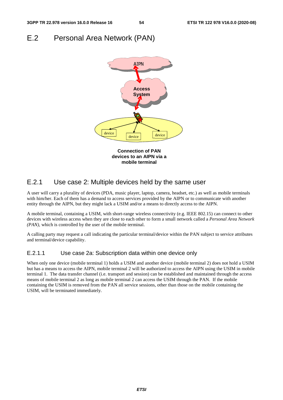# E.2 Personal Area Network (PAN)



### E.2.1 Use case 2: Multiple devices held by the same user

A user will carry a plurality of devices (PDA, music player, laptop, camera, headset, etc.) as well as mobile terminals with him/her. Each of them has a demand to access services provided by the AIPN or to communicate with another entity through the AIPN, but they might lack a USIM and/or a means to directly access to the AIPN.

A mobile terminal, containing a USIM, with short-range wireless connectivity (e.g. IEEE 802.15) can connect to other devices with wireless access when they are close to each other to form a small network called a *Personal Area Network (PAN),* which is controlled by the user of the mobile terminal.

A calling party may request a call indicating the particular terminal/device within the PAN subject to service attributes and terminal/device capability.

#### E.2.1.1 Use case 2a: Subscription data within one device only

When only one device (mobile terminal 1) holds a USIM and another device (mobile terminal 2) does not hold a USIM but has a means to access the AIPN, mobile terminal 2 will be authorized to access the AIPN using the USIM in mobile terminal 1. The data transfer channel (i.e. transport and session) can be established and maintained through the access means of mobile terminal 2 as long as mobile terminal 2 can access the USIM through the PAN. If the mobile containing the USIM is removed from the PAN all service sessions, other than those on the mobile containing the USIM, will be terminated immediately.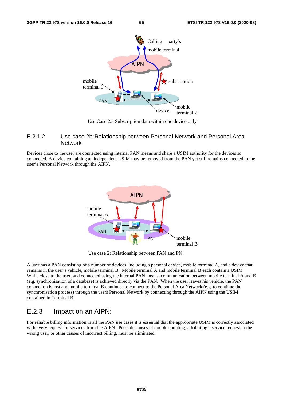

Use Case 2a: Subscription data within one device only

#### E.2.1.2 Use case 2b: Relationship between Personal Network and Personal Area **Network**

Devices close to the user are connected using internal PAN means and share a USIM authority for the devices so connected. A device containing an independent USIM may be removed from the PAN yet still remains connected to the user's Personal Network through the AIPN.



Use case 2: Relationship between PAN and PN

A user has a PAN consisting of a number of devices, including a personal device, mobile terminal A, and a device that remains in the user's vehicle, mobile terminal B. Mobile terminal A and mobile terminal B each contain a USIM. While close to the user, and connected using the internal PAN means, communication between mobile terminal A and B (e.g. synchronisation of a database) is achieved directly via the PAN. When the user leaves his vehicle, the PAN connection is lost and mobile terminal B continues to connect to the Personal Area Network (e.g. to continue the synchronisation process) through the users Personal Network by connecting through the AIPN using the USIM contained in Terminal B.

### E.2.3 Impact on an AIPN:

For reliable billing information in all the PAN use cases it is essential that the appropriate USIM is correctly associated with every request for services from the AIPN. Possible causes of double counting, attributing a service request to the wrong user, or other causes of incorrect billing, must be eliminated.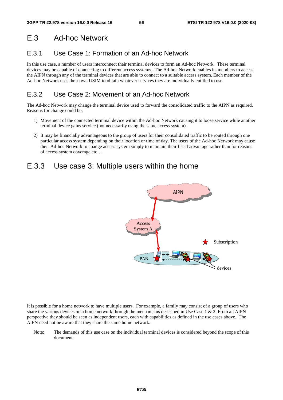# E.3 Ad-hoc Network

# E.3.1 Use Case 1: Formation of an Ad-hoc Network

In this use case, a number of users interconnect their terminal devices to form an Ad-hoc Network. These terminal devices may be capable of connecting to different access systems. The Ad-hoc Network enables its members to access the AIPN through any of the terminal devices that are able to connect to a suitable access system. Each member of the Ad-hoc Network uses their own USIM to obtain whatever services they are individually entitled to use.

# E.3.2 Use Case 2: Movement of an Ad-hoc Network

The Ad-hoc Network may change the terminal device used to forward the consolidated traffic to the AIPN as required. Reasons for change could be;

- 1) Movement of the connected terminal device within the Ad-hoc Network causing it to loose service while another terminal device gains service (not necessarily using the same access system).
- 2) It may be financially advantageous to the group of users for their consolidated traffic to be routed through one particular access system depending on their location or time of day. The users of the Ad-hoc Network may cause their Ad-hoc Network to change access system simply to maintain their fiscal advantage rather than for reasons of access system coverage etc…

# E.3.3 Use case 3: Multiple users within the home



It is possible for a home network to have multiple users. For example, a family may consist of a group of users who share the various devices on a home network through the mechanisms described in Use Case  $1 \& 2$ . From an AIPN perspective they should be seen as independent users, each with capabilities as defined in the use cases above. The AIPN need not be aware that they share the same home network.

Note: The demands of this use case on the individual terminal devices is considered beyond the scope of this document.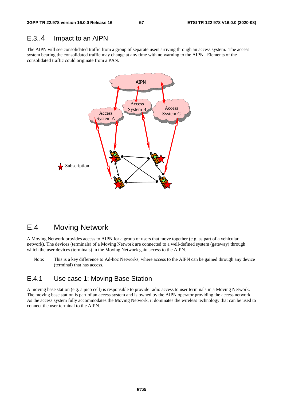### E.3..4 Impact to an AIPN

The AIPN will see consolidated traffic from a group of separate users arriving through an access system. The access system bearing the consolidated traffic may change at any time with no warning to the AIPN. Elements of the consolidated traffic could originate from a PAN.



# E.4 Moving Network

A Moving Network provides access to AIPN for a group of users that move together (e.g. as part of a vehicular network). The devices (terminals) of a Moving Network are connected to a well-defined system (gateway) through which the user devices (terminals) in the Moving Network gain access to the AIPN.

Note: This is a key difference to Ad-hoc Networks, where access to the AIPN can be gained through any device (terminal) that has access.

### E.4.1 Use case 1: Moving Base Station

A moving base station (e.g. a pico cell) is responsible to provide radio access to user terminals in a Moving Network. The moving base station is part of an access system and is owned by the AIPN operator providing the access network. As the access system fully accommodates the Moving Network, it dominates the wireless technology that can be used to connect the user terminal to the AIPN.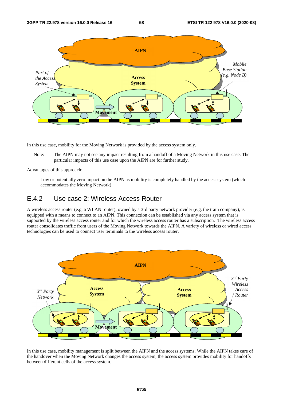

In this use case, mobility for the Moving Network is provided by the access system only.

Note: The AIPN may not see any impact resulting from a handoff of a Moving Network in this use case. The particular impacts of this use case upon the AIPN are for further study.

Advantages of this approach:

Low or potentially zero impact on the AIPN as mobility is completely handled by the access system (which accommodates the Moving Network)

### E.4.2 Use case 2: Wireless Access Router

A wireless access router (e.g. a WLAN router), owned by a 3rd party network provider (e.g. the train company), is equipped with a means to connect to an AIPN. This connection can be established via any access system that is supported by the wireless access router and for which the wireless access router has a subscription. The wireless access router consolidates traffic from users of the Moving Network towards the AIPN. A variety of wireless or wired access technologies can be used to connect user terminals to the wireless access router.



In this use case, mobility management is split between the AIPN and the access systems. While the AIPN takes care of the handover when the Moving Network changes the access system, the access system provides mobility for handoffs between different cells of the access system.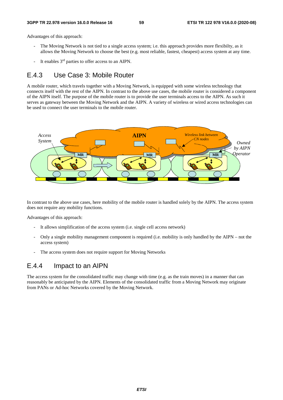Advantages of this approach:

- The Moving Network is not tied to a single access system; i.e. this approach provides more flexibilty, as it allows the Moving Network to choose the best (e.g. most reliable, fastest, cheapest) access system at any time.
- It enables  $3<sup>rd</sup>$  parties to offer access to an AIPN.

### E.4.3 Use Case 3: Mobile Router

A mobile router, which travels together with a Moving Network, is equipped with some wireless technology that connects itself with the rest of the AIPN. In contrast to the above use cases, the mobile router is considered a component of the AIPN itself. The purpose of the mobile router is to provide the user terminals access to the AIPN. As such it serves as gateway between the Moving Network and the AIPN. A variety of wireless or wired access technologies can be used to connect the user terminals to the mobile router.



In contrast to the above use cases, here mobility of the mobile router is handled solely by the AIPN. The access system does not require any mobility functions.

Advantages of this approach:

- It allows simplification of the access system (i.e. single cell access network)
- Only a single mobility management component is required (i.e. mobility is only handled by the AIPN not the access system)
- The access system does not require support for Moving Networks

### E.4.4 Impact to an AIPN

The access system for the consolidated traffic may change with time (e.g. as the train moves) in a manner that can reasonably be anticipated by the AIPN. Elements of the consolidated traffic from a Moving Network may originate from PANs or Ad-hoc Networks covered by the Moving Network.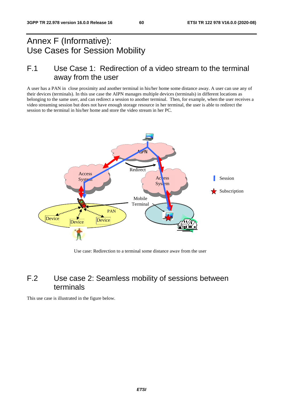# Annex F (Informative): Use Cases for Session Mobility

# F.1 Use Case 1: Redirection of a video stream to the terminal away from the user

A user has a PAN in close proximity and another terminal in his/her home some distance away. A user can use any of their devices (terminals). In this use case the AIPN manages multiple devices (terminals) in different locations as belonging to the same user, and can redirect a session to another terminal. Then, for example, when the user receives a video streaming session but does not have enough storage resource in her terminal, the user is able to redirect the session to the terminal in his/her home and store the video stream in her PC.



Use case: Redirection to a terminal some distance away from the user

# F.2 Use case 2: Seamless mobility of sessions between terminals

This use case is illustrated in the figure below.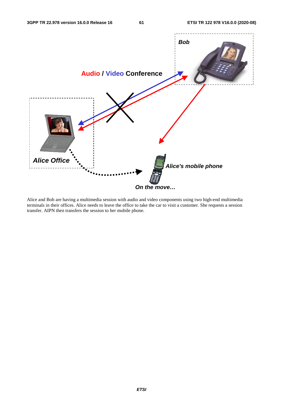

Alice and Bob are having a multimedia session with audio and video components using two high-end multimedia terminals in their offices. Alice needs to leave the office to take the car to visit a customer. She requests a session transfer. AIPN then transfers the session to her mobile phone.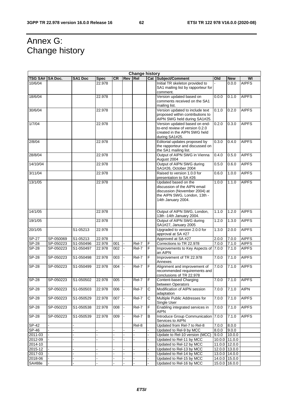# Annex G: Change history

| <b>Change history</b> |           |           |             |           |                |       |                |                                                                                  |                  |                  |              |
|-----------------------|-----------|-----------|-------------|-----------|----------------|-------|----------------|----------------------------------------------------------------------------------|------------------|------------------|--------------|
| TSG SA#   SA Doc.     |           | SA1 Doc   | <b>Spec</b> | <b>CR</b> | Rev Rel        |       |                | Cat Subject/Comment                                                              | Old              | <b>New</b>       | WI           |
| 10/6/04               |           |           | 22.978      |           |                |       |                | Initial TR skeleton provided to<br>SA1 mailing list by rapporteur for            |                  | 0.0.0            | <b>AIPFS</b> |
|                       |           |           |             |           |                |       |                | comment.                                                                         |                  |                  |              |
| 18/6/04               |           |           | 22.978      |           |                |       |                | Version updated based on                                                         | 0.0.0            | 0.1.0            | <b>AIPFS</b> |
|                       |           |           |             |           |                |       |                | comments received on the SA1<br>mailing list.                                    |                  |                  |              |
| 30/6/04               |           |           | 22.978      |           |                |       |                | Version updated to include text<br>proposed within contributions to              | 0.1.0            | 0.2.0            | <b>AIPFS</b> |
|                       |           |           |             |           |                |       |                | AIPN SWG held during SA1#25.                                                     |                  |                  |              |
| 1/7/04                |           |           | 22.978      |           |                |       |                | Version updated based on end-                                                    | 0.2.0            | 0.3.0            | <b>AIPFS</b> |
|                       |           |           |             |           |                |       |                | to-end review of version 0.2.0<br>created in the AIPN SWG held<br>during SA1#25. |                  |                  |              |
| 2/8/04                |           |           | 22.978      |           |                |       |                | Editorial updates proposed by                                                    | 0.3.0            | 0.4.0            | <b>AIPFS</b> |
|                       |           |           |             |           |                |       |                | the rapporteur and discussed on<br>the SA1 mailing list.                         |                  |                  |              |
| 28/8/04               |           |           | 22.978      |           |                |       |                | Output of AIPN SWG in Vienna<br>August 2004                                      | 0.4.0            | 0.5.0            | <b>AIPFS</b> |
| 14/10/04              |           |           | 22.978      |           |                |       |                | Output of AIPN SWG during<br>SA1#26, October 2004                                | 0.5.0            | 0.6.0            | <b>AIPFS</b> |
| 3/11/04               |           |           | 22.978      |           |                |       |                | Raised to version 1.0.0 for<br>presentation to SA #26                            | 0.6.0            | 1.0.0            | <b>AIPFS</b> |
| 13/1/05               |           |           | 22.978      |           |                |       |                | Updated based on the                                                             | 1.0.0            | 1.1.0            | <b>AIPFS</b> |
|                       |           |           |             |           |                |       |                | discussion of the AIPN email                                                     |                  |                  |              |
|                       |           |           |             |           |                |       |                | discussion (November 2004) at<br>the AIPN SWG, London, 13th -                    |                  |                  |              |
|                       |           |           |             |           |                |       |                | 14th January 2004.                                                               |                  |                  |              |
|                       |           |           |             |           |                |       |                |                                                                                  |                  |                  |              |
| 14/1/05               |           |           | 22.978      |           |                |       |                | Output of AIPN SWG, London,                                                      | 1.1.0            | 1.2.0            | <b>AIPFS</b> |
|                       |           |           |             |           |                |       |                | 13th -14th January 2004.                                                         |                  |                  |              |
| 19/1/05               |           |           | 22.978      |           |                |       |                | Output of AIPN SWG during<br>SA1#27, January 2005                                | 1.2.0            | 1.3.0            | <b>AIPFS</b> |
| 20/1/05               |           | S1-05213  | 22.978      |           |                |       |                | Upgraded to version 2.0.0 for<br>approval at SA #27                              | 1.3.0            | 2.0.0            | <b>AIPFS</b> |
| SP-27                 | SP-050069 | S1-05213  | 22.978      |           |                |       |                | Approved at SA #27                                                               | 2.0.0            | 7.0.0            | <b>AIPFS</b> |
| <b>SP-28</b>          | SP-050223 | S1-050496 | 22.978      | 001       |                | Rel-7 | F              | Corrections to TR 22.978                                                         | 7.0.0            | 7.1.0            | <b>AIPFS</b> |
| <b>SP-28</b>          | SP-050223 | S1-050497 | 22.978      | 002       | $\overline{a}$ | Rel-7 | F              | Improvements to Key Aspects of<br>an AIPN                                        | 7.0.0            | 7.1.0            | <b>AIPFS</b> |
| <b>SP-28</b>          | SP-050223 | S1-050498 | 22.978      | 003       |                | Rel-7 | F              | Improvement of TR 22.978<br>Annexes                                              | 7.0.0            | 7.1.0            | <b>AIPFS</b> |
| <b>SP-28</b>          | SP-050223 | S1-050499 | 22.978      | 004       | $\blacksquare$ | Rel-7 | F              | Alignment and improvement of                                                     | 7.0.0            | 7.1.0            | <b>AIPFS</b> |
|                       |           |           |             |           |                |       |                | recommended requirements and<br>conclusions of TR 22.978                         |                  |                  |              |
| $SP-28$               | SP-050223 | S1-050502 | 22.978      | 005       |                | Rel-7 | F              | Content-based Charging                                                           | 7.0.0            | 7.1.0            | <b>AIPFS</b> |
|                       |           |           |             |           |                |       |                | between Operators                                                                |                  |                  |              |
| <b>SP-28</b>          | SP-050223 | S1-050503 | 22.978      | 006       |                | Rel-7 | C              | Modification of AIPN session<br>adaptation                                       | 7.0.0            | 7.1.0            | <b>AIPN</b>  |
| <b>SP-28</b>          | SP-050223 | S1-050529 | 22.978      | 007       | $\blacksquare$ | Rel-7 | С              | Multiple Public Addresses for<br>Single User                                     | 7.0.0            | 7.1.0            | <b>AIPFS</b> |
| <b>SP-28</b>          | SP-050223 | S1-050538 | 22.978      | 008       |                | Rel-7 | F              | Enabling integrated services in<br><b>AIPN</b>                                   | 7.0.0            | 7.1.0            | <b>AIPFS</b> |
| <b>SP-28</b>          | SP-050223 | S1-050539 | 22.978      | 009       | $\blacksquare$ | Rel-7 | B              | Introduce Group Communication<br>Services to AIPN                                | 7.0.0            | 7.1.0            | <b>AIPFS</b> |
| <b>SP-42</b>          |           |           |             |           |                | Rel-8 |                | Updated from Rel-7 to Rel-8                                                      | 7.0.0            | 8.0.0            |              |
| SP-46                 |           |           |             |           |                |       |                | Updated to Rel-9 by MCC                                                          | 8.0.0            | 9.0.0            |              |
| 2011-03               |           |           |             |           |                |       |                | Update to Rel-10 version (MCC)                                                   | 9.0.0            | 10.0.0           |              |
| 2012-09<br>2014-10    |           |           |             |           |                |       |                | Updated to Rel-11 by MCC<br>Updated to Rel-12 by MCC                             | 10.0.0<br>11.0.0 | 11.0.0<br>12.0.0 |              |
| 2015-12               |           |           |             |           |                |       |                | Updated to Rel-13 by MCC                                                         | 12.0.0           | 13.0.0           |              |
| 2017-03               |           |           |             |           |                |       | $\overline{a}$ | Updated to Rel-14 by MCC                                                         |                  | 13.0.0 14.0.0    |              |
| 2018-06               |           |           |             |           |                |       | $\overline{a}$ | Updated to Rel-15 by MCC                                                         |                  | 14.0.0 15.0.0    |              |
| SA#88e                |           |           |             |           |                |       |                | Updated to Rel-16 by MCC                                                         |                  | 15.0.0 16.0.0    |              |